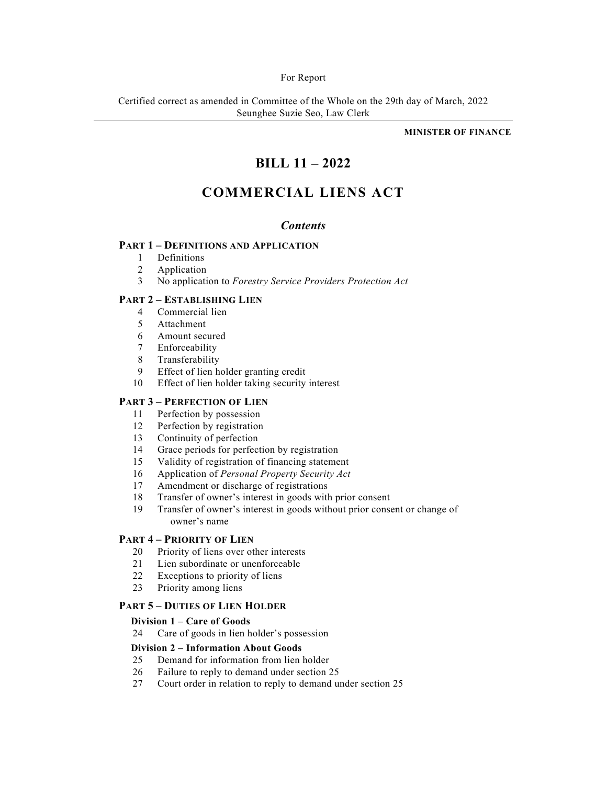### For Report

Certified correct as amended in Committee of the Whole on the 29th day of March, 2022 Seunghee Suzie Seo, Law Clerk

**MINISTER OF FINANCE** 

# **BILL 11 – 2022**

# **COMMERCIAL LIENS ACT**

## *Contents*

## **PART 1 – DEFINITIONS AND APPLICATION**

- 1 Definitions
- 2 Application
- 3 No application to *Forestry Service Providers Protection Act*

## **PART 2 – ESTABLISHING LIEN**

- 4 Commercial lien
- 5 Attachment
- 6 Amount secured
- 7 Enforceability
- 8 Transferability
- 9 Effect of lien holder granting credit
- 10 Effect of lien holder taking security interest

## **PART 3 – PERFECTION OF LIEN**

- 11 Perfection by possession
- 12 Perfection by registration
- 13 Continuity of perfection
- 14 Grace periods for perfection by registration
- 15 Validity of registration of financing statement
- 16 Application of *Personal Property Security Act*
- 17 Amendment or discharge of registrations
- 18 Transfer of owner's interest in goods with prior consent
- 19 Transfer of owner's interest in goods without prior consent or change of owner's name

## **PART 4 – PRIORITY OF LIEN**

- 20 Priority of liens over other interests
- 21 Lien subordinate or unenforceable
- 22 Exceptions to priority of liens
- 23 Priority among liens

## **PART 5 – DUTIES OF LIEN HOLDER**

## **Division 1 – Care of Goods**

24 Care of goods in lien holder's possession

## **Division 2 – Information About Goods**

- 25 Demand for information from lien holder
- 26 Failure to reply to demand under section 25
- 27 Court order in relation to reply to demand under section 25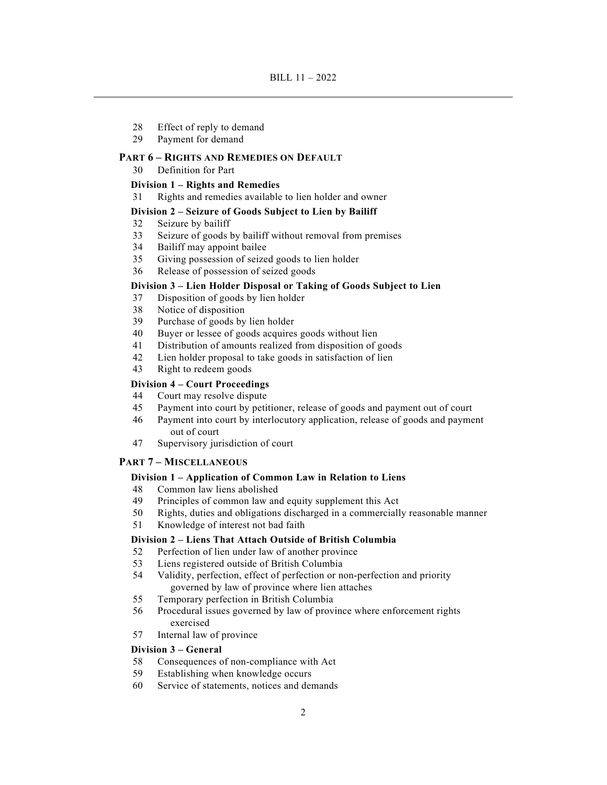- 28 Effect of reply to demand
- 29 Payment for demand

## **PART 6 – RIGHTS AND REMEDIES ON DEFAULT**

30 Definition for Part

## **Division 1 – Rights and Remedies**

31 Rights and remedies available to lien holder and owner

#### **Division 2 – Seizure of Goods Subject to Lien by Bailiff**

- 32 Seizure by bailiff
- 33 Seizure of goods by bailiff without removal from premises
- 34 Bailiff may appoint bailee
- 35 Giving possession of seized goods to lien holder
- 36 Release of possession of seized goods

## **Division 3 – Lien Holder Disposal or Taking of Goods Subject to Lien**

- 37 Disposition of goods by lien holder
- 38 Notice of disposition
- 39 Purchase of goods by lien holder
- 40 Buyer or lessee of goods acquires goods without lien
- 41 Distribution of amounts realized from disposition of goods
- 42 Lien holder proposal to take goods in satisfaction of lien
- 43 Right to redeem goods

### **Division 4 – Court Proceedings**

- 44 Court may resolve dispute
- 45 Payment into court by petitioner, release of goods and payment out of court
- 46 Payment into court by interlocutory application, release of goods and payment out of court
- 47 Supervisory jurisdiction of court

### **PART 7 – MISCELLANEOUS**

### **Division 1 – Application of Common Law in Relation to Liens**

- 48 Common law liens abolished
- 49 Principles of common law and equity supplement this Act
- 50 Rights, duties and obligations discharged in a commercially reasonable manner
- 51 Knowledge of interest not bad faith

## **Division 2 – Liens That Attach Outside of British Columbia**

- 52 Perfection of lien under law of another province
- 53 Liens registered outside of British Columbia
- 54 Validity, perfection, effect of perfection or non-perfection and priority governed by law of province where lien attaches
- 55 Temporary perfection in British Columbia
- 56 Procedural issues governed by law of province where enforcement rights exercised
- 57 Internal law of province

## **Division 3 – General**

- 58 Consequences of non-compliance with Act
- 59 Establishing when knowledge occurs
- 60 Service of statements, notices and demands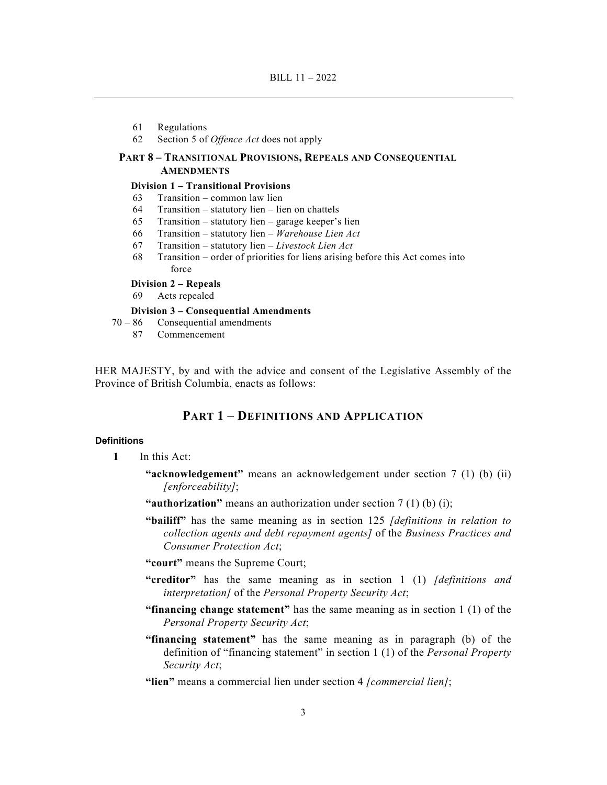- 61 Regulations
- 62 Section 5 of *Offence Act* does not apply

## **PART 8 – TRANSITIONAL PROVISIONS, REPEALS AND CONSEQUENTIAL AMENDMENTS**

#### **Division 1 – Transitional Provisions**

- 63 Transition common law lien
- 64 Transition statutory lien lien on chattels
- 65 Transition statutory lien garage keeper's lien
- 66 Transition statutory lien *Warehouse Lien Act*
- 67 Transition statutory lien *Livestock Lien Act*
- 68 Transition order of priorities for liens arising before this Act comes into force

## **Division 2 – Repeals**

69 Acts repealed

## **Division 3 – Consequential Amendments**

- 70 86 Consequential amendments
	- 87 Commencement

HER MAJESTY, by and with the advice and consent of the Legislative Assembly of the Province of British Columbia, enacts as follows:

## **PART 1 – DEFINITIONS AND APPLICATION**

#### **Definitions**

- **1** In this Act:
	- **"acknowledgement"** means an acknowledgement under section 7 (1) (b) (ii) *[enforceability]*;
	- **"authorization"** means an authorization under section 7 (1) (b) (i);
	- **"bailiff"** has the same meaning as in section 125 *[definitions in relation to collection agents and debt repayment agents]* of the *Business Practices and Consumer Protection Act*;
	- **"court"** means the Supreme Court;
	- **"creditor"** has the same meaning as in section 1 (1) *[definitions and interpretation]* of the *Personal Property Security Act*;
	- **"financing change statement"** has the same meaning as in section 1 (1) of the *Personal Property Security Act*;
	- **"financing statement"** has the same meaning as in paragraph (b) of the definition of "financing statement" in section 1 (1) of the *Personal Property Security Act*;
	- **"lien"** means a commercial lien under section 4 *[commercial lien]*;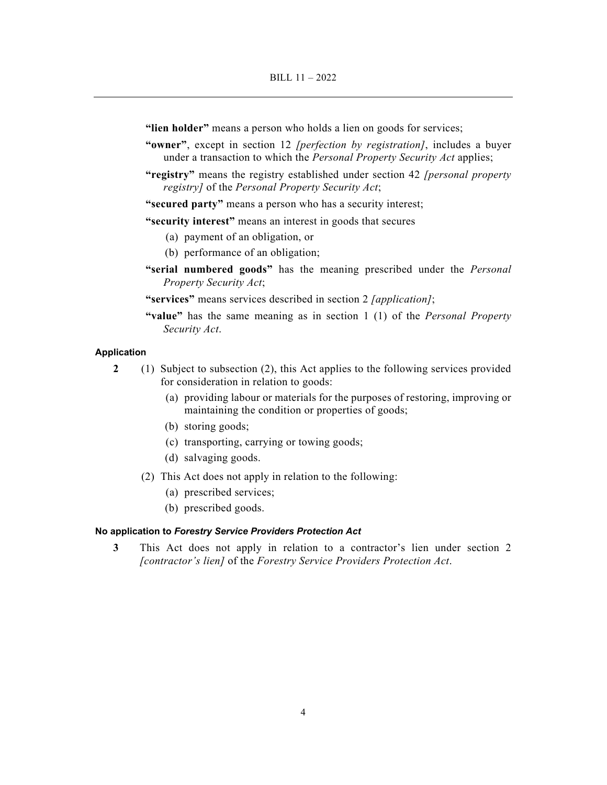**"lien holder"** means a person who holds a lien on goods for services;

- **"owner"**, except in section 12 *[perfection by registration]*, includes a buyer under a transaction to which the *Personal Property Security Act* applies;
- **"registry"** means the registry established under section 42 *[personal property registry]* of the *Personal Property Security Act*;

**"secured party"** means a person who has a security interest;

**"security interest"** means an interest in goods that secures

- (a) payment of an obligation, or
- (b) performance of an obligation;
- **"serial numbered goods"** has the meaning prescribed under the *Personal Property Security Act*;
- **"services"** means services described in section 2 *[application]*;
- **"value"** has the same meaning as in section 1 (1) of the *Personal Property Security Act*.

### **Application**

- **2** (1) Subject to subsection (2), this Act applies to the following services provided for consideration in relation to goods:
	- (a) providing labour or materials for the purposes of restoring, improving or maintaining the condition or properties of goods;
	- (b) storing goods;
	- (c) transporting, carrying or towing goods;
	- (d) salvaging goods.
	- (2) This Act does not apply in relation to the following:
		- (a) prescribed services;
		- (b) prescribed goods.

#### **No application to** *Forestry Service Providers Protection Act*

**3** This Act does not apply in relation to a contractor's lien under section 2 *[contractor's lien]* of the *Forestry Service Providers Protection Act*.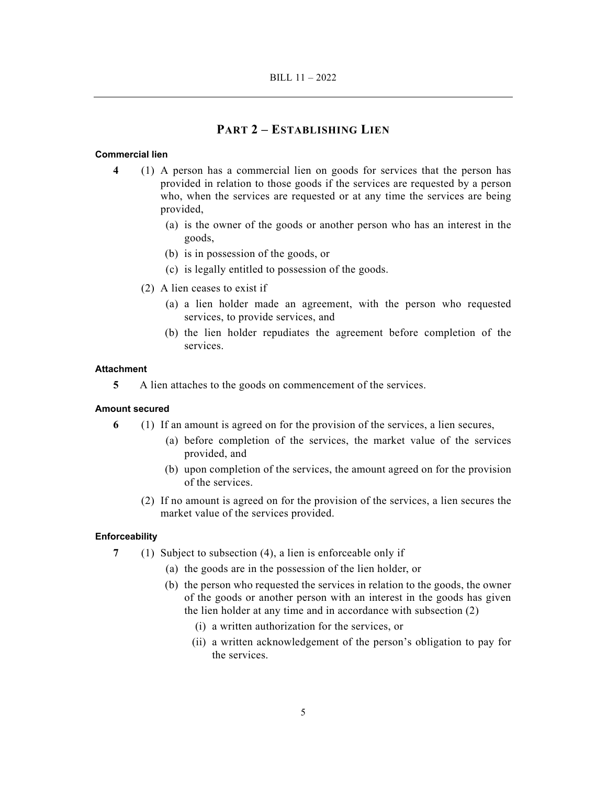## **PART 2 – ESTABLISHING LIEN**

#### **Commercial lien**

- **4** (1) A person has a commercial lien on goods for services that the person has provided in relation to those goods if the services are requested by a person who, when the services are requested or at any time the services are being provided,
	- (a) is the owner of the goods or another person who has an interest in the goods,
	- (b) is in possession of the goods, or
	- (c) is legally entitled to possession of the goods.
	- (2) A lien ceases to exist if
		- (a) a lien holder made an agreement, with the person who requested services, to provide services, and
		- (b) the lien holder repudiates the agreement before completion of the services.

#### **Attachment**

**5** A lien attaches to the goods on commencement of the services.

#### **Amount secured**

- **6** (1) If an amount is agreed on for the provision of the services, a lien secures,
	- (a) before completion of the services, the market value of the services provided, and
	- (b) upon completion of the services, the amount agreed on for the provision of the services.
	- (2) If no amount is agreed on for the provision of the services, a lien secures the market value of the services provided.

#### **Enforceability**

- **7** (1) Subject to subsection (4), a lien is enforceable only if
	- (a) the goods are in the possession of the lien holder, or
	- (b) the person who requested the services in relation to the goods, the owner of the goods or another person with an interest in the goods has given the lien holder at any time and in accordance with subsection (2)
		- (i) a written authorization for the services, or
		- (ii) a written acknowledgement of the person's obligation to pay for the services.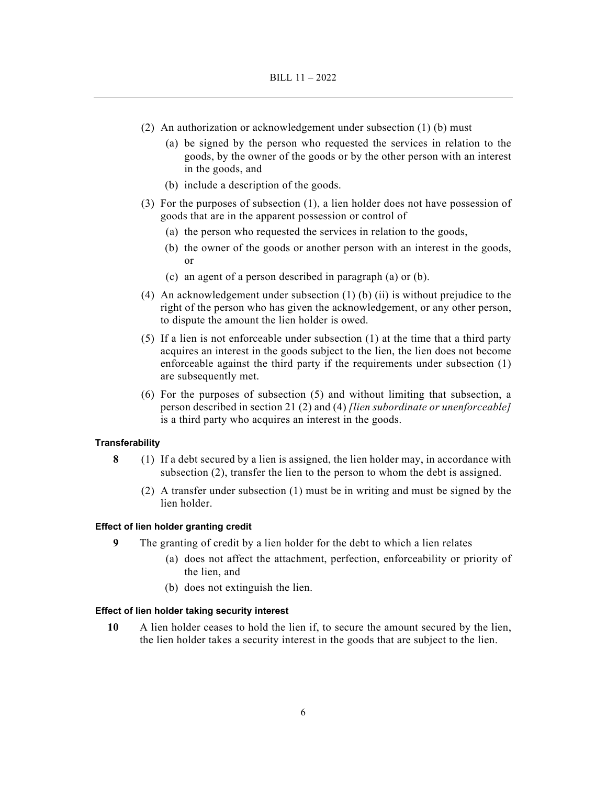- (2) An authorization or acknowledgement under subsection (1) (b) must
	- (a) be signed by the person who requested the services in relation to the goods, by the owner of the goods or by the other person with an interest in the goods, and
	- (b) include a description of the goods.
- (3) For the purposes of subsection (1), a lien holder does not have possession of goods that are in the apparent possession or control of
	- (a) the person who requested the services in relation to the goods,
	- (b) the owner of the goods or another person with an interest in the goods, or
	- (c) an agent of a person described in paragraph (a) or (b).
- (4) An acknowledgement under subsection (1) (b) (ii) is without prejudice to the right of the person who has given the acknowledgement, or any other person, to dispute the amount the lien holder is owed.
- (5) If a lien is not enforceable under subsection (1) at the time that a third party acquires an interest in the goods subject to the lien, the lien does not become enforceable against the third party if the requirements under subsection (1) are subsequently met.
- (6) For the purposes of subsection (5) and without limiting that subsection, a person described in section 21 (2) and (4) *[lien subordinate or unenforceable]* is a third party who acquires an interest in the goods.

## **Transferability**

- **8** (1) If a debt secured by a lien is assigned, the lien holder may, in accordance with subsection (2), transfer the lien to the person to whom the debt is assigned.
	- (2) A transfer under subsection (1) must be in writing and must be signed by the lien holder.

### **Effect of lien holder granting credit**

- **9** The granting of credit by a lien holder for the debt to which a lien relates
	- (a) does not affect the attachment, perfection, enforceability or priority of the lien, and
	- (b) does not extinguish the lien.

### **Effect of lien holder taking security interest**

**10** A lien holder ceases to hold the lien if, to secure the amount secured by the lien, the lien holder takes a security interest in the goods that are subject to the lien.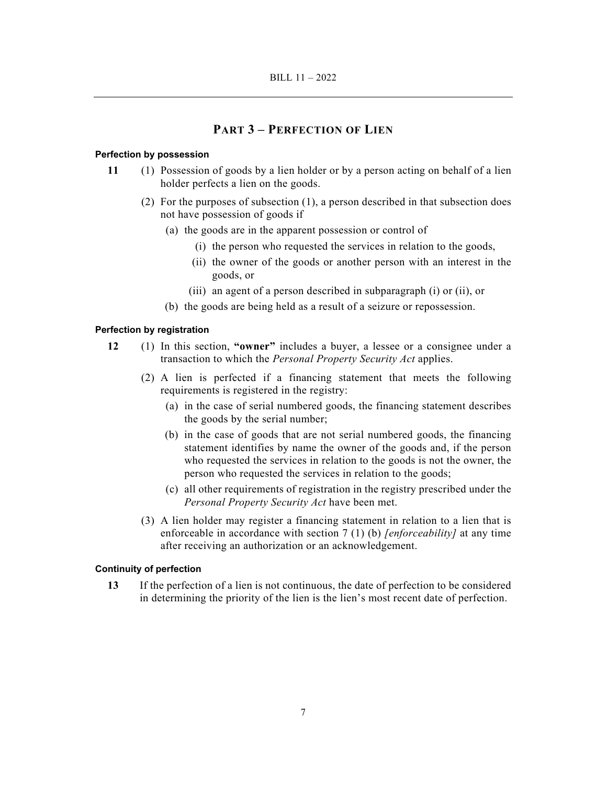## **PART 3 – PERFECTION OF LIEN**

## **Perfection by possession**

- **11** (1) Possession of goods by a lien holder or by a person acting on behalf of a lien holder perfects a lien on the goods.
	- (2) For the purposes of subsection (1), a person described in that subsection does not have possession of goods if
		- (a) the goods are in the apparent possession or control of
			- (i) the person who requested the services in relation to the goods,
			- (ii) the owner of the goods or another person with an interest in the goods, or
			- (iii) an agent of a person described in subparagraph (i) or (ii), or
		- (b) the goods are being held as a result of a seizure or repossession.

### **Perfection by registration**

- **12** (1) In this section, **"owner"** includes a buyer, a lessee or a consignee under a transaction to which the *Personal Property Security Act* applies.
	- (2) A lien is perfected if a financing statement that meets the following requirements is registered in the registry:
		- (a) in the case of serial numbered goods, the financing statement describes the goods by the serial number;
		- (b) in the case of goods that are not serial numbered goods, the financing statement identifies by name the owner of the goods and, if the person who requested the services in relation to the goods is not the owner, the person who requested the services in relation to the goods;
		- (c) all other requirements of registration in the registry prescribed under the *Personal Property Security Act* have been met.
	- (3) A lien holder may register a financing statement in relation to a lien that is enforceable in accordance with section 7 (1) (b) *[enforceability]* at any time after receiving an authorization or an acknowledgement.

### **Continuity of perfection**

**13** If the perfection of a lien is not continuous, the date of perfection to be considered in determining the priority of the lien is the lien's most recent date of perfection.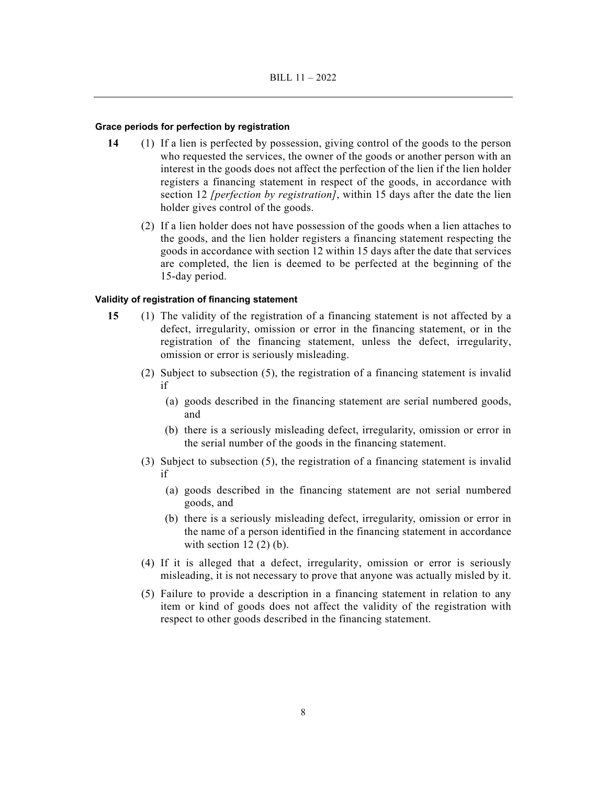### **Grace periods for perfection by registration**

- **14** (1) If a lien is perfected by possession, giving control of the goods to the person who requested the services, the owner of the goods or another person with an interest in the goods does not affect the perfection of the lien if the lien holder registers a financing statement in respect of the goods, in accordance with section 12 *[perfection by registration]*, within 15 days after the date the lien holder gives control of the goods.
	- (2) If a lien holder does not have possession of the goods when a lien attaches to the goods, and the lien holder registers a financing statement respecting the goods in accordance with section 12 within 15 days after the date that services are completed, the lien is deemed to be perfected at the beginning of the 15-day period.

### **Validity of registration of financing statement**

- **15** (1) The validity of the registration of a financing statement is not affected by a defect, irregularity, omission or error in the financing statement, or in the registration of the financing statement, unless the defect, irregularity, omission or error is seriously misleading.
	- (2) Subject to subsection (5), the registration of a financing statement is invalid if
		- (a) goods described in the financing statement are serial numbered goods, and
		- (b) there is a seriously misleading defect, irregularity, omission or error in the serial number of the goods in the financing statement.
	- (3) Subject to subsection (5), the registration of a financing statement is invalid if
		- (a) goods described in the financing statement are not serial numbered goods, and
		- (b) there is a seriously misleading defect, irregularity, omission or error in the name of a person identified in the financing statement in accordance with section  $12(2)(b)$ .
	- (4) If it is alleged that a defect, irregularity, omission or error is seriously misleading, it is not necessary to prove that anyone was actually misled by it.
	- (5) Failure to provide a description in a financing statement in relation to any item or kind of goods does not affect the validity of the registration with respect to other goods described in the financing statement.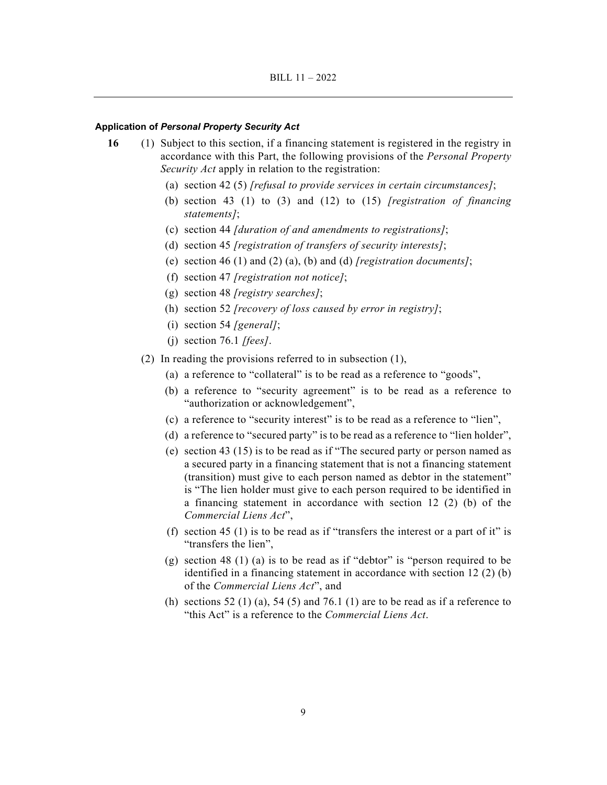#### **Application of** *Personal Property Security Act*

- **16** (1) Subject to this section, if a financing statement is registered in the registry in accordance with this Part, the following provisions of the *Personal Property Security Act* apply in relation to the registration:
	- (a) section 42 (5) *[refusal to provide services in certain circumstances]*;
	- (b) section 43 (1) to (3) and (12) to (15) *[registration of financing statements]*;
	- (c) section 44 *[duration of and amendments to registrations]*;
	- (d) section 45 *[registration of transfers of security interests]*;
	- (e) section 46 (1) and (2) (a), (b) and (d) *[registration documents]*;
	- (f) section 47 *[registration not notice]*;
	- (g) section 48 *[registry searches]*;
	- (h) section 52 *[recovery of loss caused by error in registry]*;
	- (i) section 54 *[general]*;
	- (j) section 76.1 *[fees]*.
	- (2) In reading the provisions referred to in subsection (1),
		- (a) a reference to "collateral" is to be read as a reference to "goods",
		- (b) a reference to "security agreement" is to be read as a reference to "authorization or acknowledgement",
		- (c) a reference to "security interest" is to be read as a reference to "lien",
		- (d) a reference to "secured party" is to be read as a reference to "lien holder",
		- (e) section 43 (15) is to be read as if "The secured party or person named as a secured party in a financing statement that is not a financing statement (transition) must give to each person named as debtor in the statement" is "The lien holder must give to each person required to be identified in a financing statement in accordance with section 12 (2) (b) of the *Commercial Liens Act*",
		- (f) section 45 (1) is to be read as if "transfers the interest or a part of it" is "transfers the lien",
		- (g) section 48 (1) (a) is to be read as if "debtor" is "person required to be identified in a financing statement in accordance with section 12 (2) (b) of the *Commercial Liens Act*", and
		- (h) sections 52 (1) (a), 54 (5) and 76.1 (1) are to be read as if a reference to "this Act" is a reference to the *Commercial Liens Act*.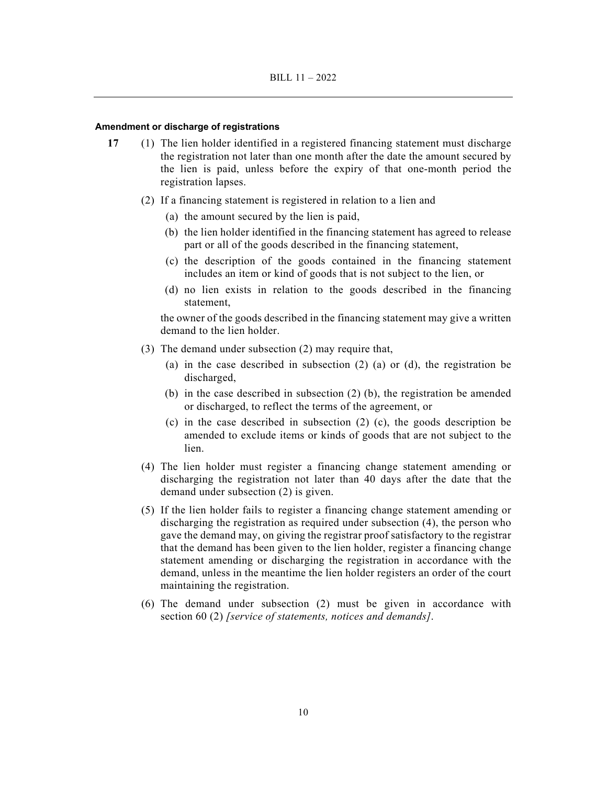#### **Amendment or discharge of registrations**

- **17** (1) The lien holder identified in a registered financing statement must discharge the registration not later than one month after the date the amount secured by the lien is paid, unless before the expiry of that one-month period the registration lapses.
	- (2) If a financing statement is registered in relation to a lien and
		- (a) the amount secured by the lien is paid,
		- (b) the lien holder identified in the financing statement has agreed to release part or all of the goods described in the financing statement,
		- (c) the description of the goods contained in the financing statement includes an item or kind of goods that is not subject to the lien, or
		- (d) no lien exists in relation to the goods described in the financing statement,

the owner of the goods described in the financing statement may give a written demand to the lien holder.

- (3) The demand under subsection (2) may require that,
	- (a) in the case described in subsection (2) (a) or (d), the registration be discharged,
	- (b) in the case described in subsection (2) (b), the registration be amended or discharged, to reflect the terms of the agreement, or
	- (c) in the case described in subsection (2) (c), the goods description be amended to exclude items or kinds of goods that are not subject to the lien.
- (4) The lien holder must register a financing change statement amending or discharging the registration not later than 40 days after the date that the demand under subsection (2) is given.
- (5) If the lien holder fails to register a financing change statement amending or discharging the registration as required under subsection (4), the person who gave the demand may, on giving the registrar proof satisfactory to the registrar that the demand has been given to the lien holder, register a financing change statement amending or discharging the registration in accordance with the demand, unless in the meantime the lien holder registers an order of the court maintaining the registration.
- (6) The demand under subsection (2) must be given in accordance with section 60 (2) *[service of statements, notices and demands]*.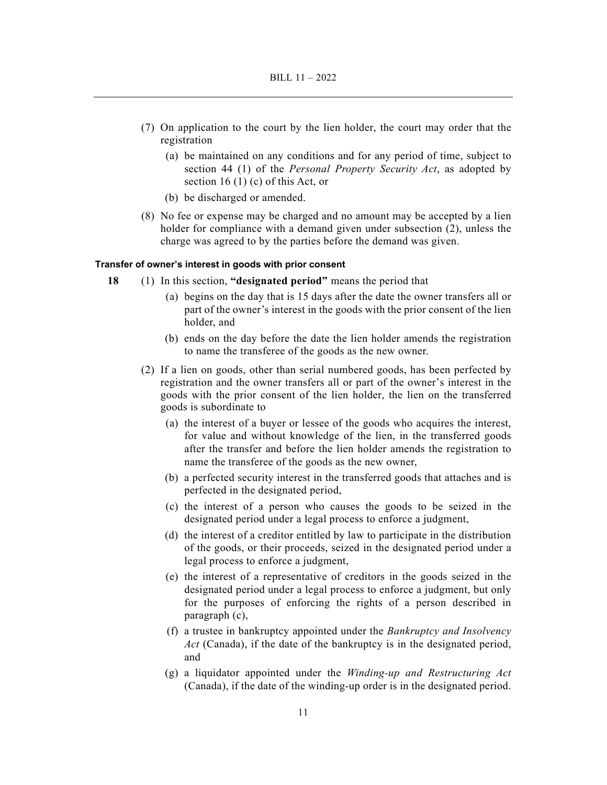- (7) On application to the court by the lien holder, the court may order that the registration
	- (a) be maintained on any conditions and for any period of time, subject to section 44 (1) of the *Personal Property Security Act*, as adopted by section 16 $(1)$  $(c)$  of this Act, or
	- (b) be discharged or amended.
- (8) No fee or expense may be charged and no amount may be accepted by a lien holder for compliance with a demand given under subsection (2), unless the charge was agreed to by the parties before the demand was given.

#### **Transfer of owner's interest in goods with prior consent**

- **18** (1) In this section, **"designated period"** means the period that
	- (a) begins on the day that is 15 days after the date the owner transfers all or part of the owner's interest in the goods with the prior consent of the lien holder, and
	- (b) ends on the day before the date the lien holder amends the registration to name the transferee of the goods as the new owner.
	- (2) If a lien on goods, other than serial numbered goods, has been perfected by registration and the owner transfers all or part of the owner's interest in the goods with the prior consent of the lien holder, the lien on the transferred goods is subordinate to
		- (a) the interest of a buyer or lessee of the goods who acquires the interest, for value and without knowledge of the lien, in the transferred goods after the transfer and before the lien holder amends the registration to name the transferee of the goods as the new owner,
		- (b) a perfected security interest in the transferred goods that attaches and is perfected in the designated period,
		- (c) the interest of a person who causes the goods to be seized in the designated period under a legal process to enforce a judgment,
		- (d) the interest of a creditor entitled by law to participate in the distribution of the goods, or their proceeds, seized in the designated period under a legal process to enforce a judgment,
		- (e) the interest of a representative of creditors in the goods seized in the designated period under a legal process to enforce a judgment, but only for the purposes of enforcing the rights of a person described in paragraph (c),
		- (f) a trustee in bankruptcy appointed under the *Bankruptcy and Insolvency Act* (Canada), if the date of the bankruptcy is in the designated period, and
		- (g) a liquidator appointed under the *Winding-up and Restructuring Act* (Canada), if the date of the winding-up order is in the designated period.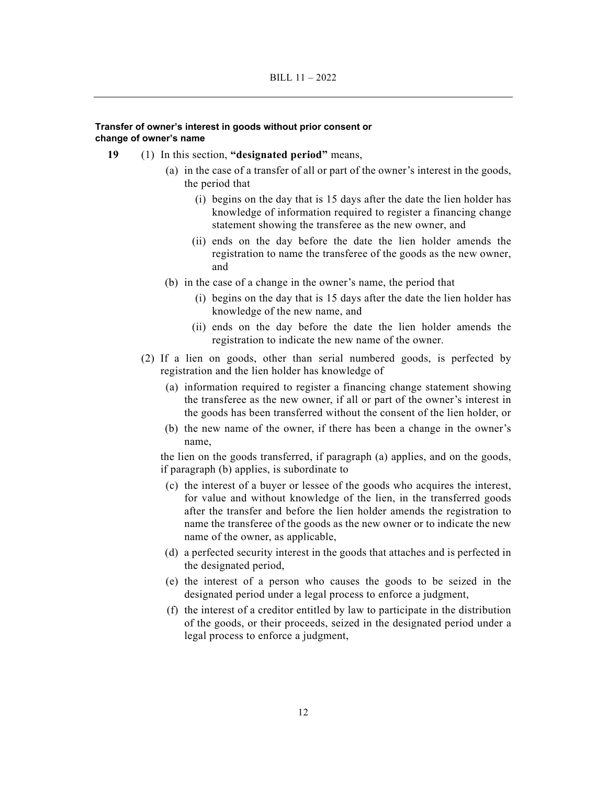### **Transfer of owner's interest in goods without prior consent or change of owner's name**

- **19** (1) In this section, **"designated period"** means,
	- (a) in the case of a transfer of all or part of the owner's interest in the goods, the period that
		- (i) begins on the day that is 15 days after the date the lien holder has knowledge of information required to register a financing change statement showing the transferee as the new owner, and
		- (ii) ends on the day before the date the lien holder amends the registration to name the transferee of the goods as the new owner, and
	- (b) in the case of a change in the owner's name, the period that
		- (i) begins on the day that is 15 days after the date the lien holder has knowledge of the new name, and
		- (ii) ends on the day before the date the lien holder amends the registration to indicate the new name of the owner.
	- (2) If a lien on goods, other than serial numbered goods, is perfected by registration and the lien holder has knowledge of
		- (a) information required to register a financing change statement showing the transferee as the new owner, if all or part of the owner's interest in the goods has been transferred without the consent of the lien holder, or
		- (b) the new name of the owner, if there has been a change in the owner's name,

the lien on the goods transferred, if paragraph (a) applies, and on the goods, if paragraph (b) applies, is subordinate to

- (c) the interest of a buyer or lessee of the goods who acquires the interest, for value and without knowledge of the lien, in the transferred goods after the transfer and before the lien holder amends the registration to name the transferee of the goods as the new owner or to indicate the new name of the owner, as applicable,
- (d) a perfected security interest in the goods that attaches and is perfected in the designated period,
- (e) the interest of a person who causes the goods to be seized in the designated period under a legal process to enforce a judgment,
- (f) the interest of a creditor entitled by law to participate in the distribution of the goods, or their proceeds, seized in the designated period under a legal process to enforce a judgment,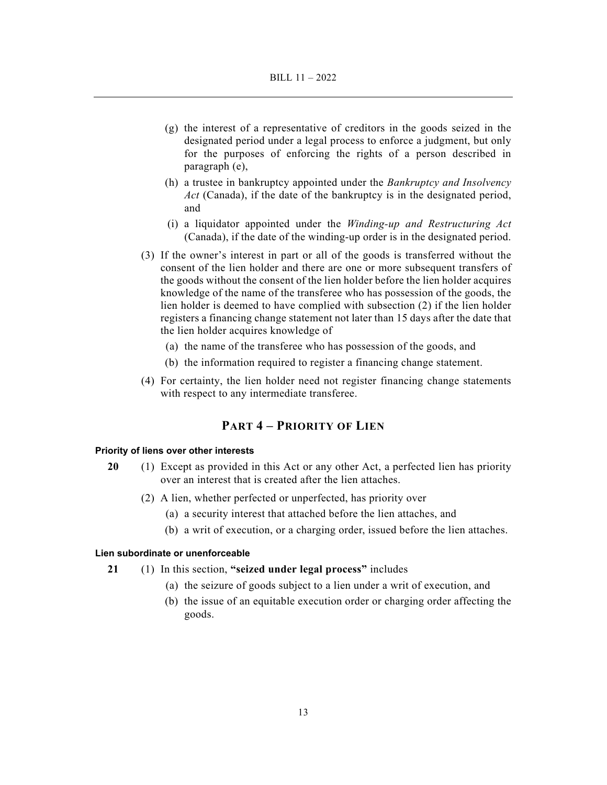- (g) the interest of a representative of creditors in the goods seized in the designated period under a legal process to enforce a judgment, but only for the purposes of enforcing the rights of a person described in paragraph (e),
- (h) a trustee in bankruptcy appointed under the *Bankruptcy and Insolvency Act* (Canada), if the date of the bankruptcy is in the designated period, and
- (i) a liquidator appointed under the *Winding-up and Restructuring Act* (Canada), if the date of the winding-up order is in the designated period.
- (3) If the owner's interest in part or all of the goods is transferred without the consent of the lien holder and there are one or more subsequent transfers of the goods without the consent of the lien holder before the lien holder acquires knowledge of the name of the transferee who has possession of the goods, the lien holder is deemed to have complied with subsection (2) if the lien holder registers a financing change statement not later than 15 days after the date that the lien holder acquires knowledge of
	- (a) the name of the transferee who has possession of the goods, and
	- (b) the information required to register a financing change statement.
- (4) For certainty, the lien holder need not register financing change statements with respect to any intermediate transferee.

## **PART 4 – PRIORITY OF LIEN**

#### **Priority of liens over other interests**

- **20** (1) Except as provided in this Act or any other Act, a perfected lien has priority over an interest that is created after the lien attaches.
	- (2) A lien, whether perfected or unperfected, has priority over
		- (a) a security interest that attached before the lien attaches, and
		- (b) a writ of execution, or a charging order, issued before the lien attaches.

## **Lien subordinate or unenforceable**

- **21** (1) In this section, **"seized under legal process"** includes
	- (a) the seizure of goods subject to a lien under a writ of execution, and
	- (b) the issue of an equitable execution order or charging order affecting the goods.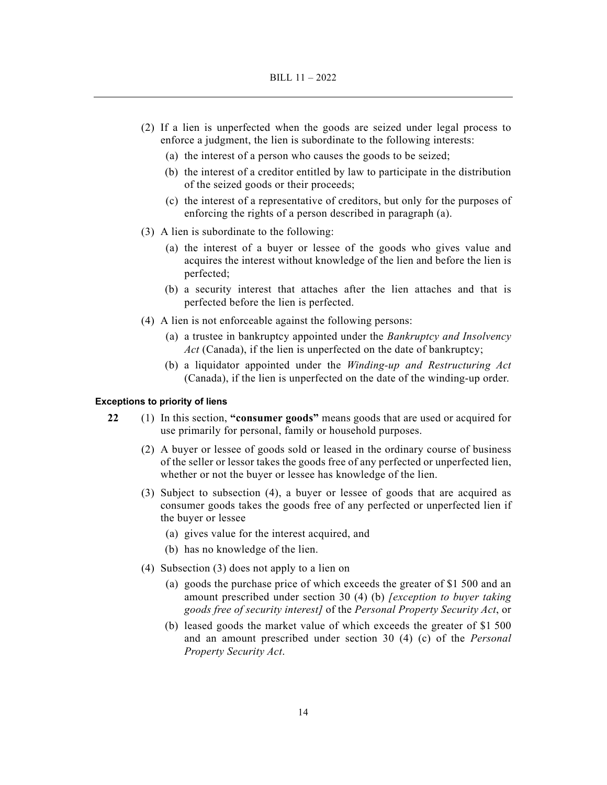- (2) If a lien is unperfected when the goods are seized under legal process to enforce a judgment, the lien is subordinate to the following interests:
	- (a) the interest of a person who causes the goods to be seized;
	- (b) the interest of a creditor entitled by law to participate in the distribution of the seized goods or their proceeds;
	- (c) the interest of a representative of creditors, but only for the purposes of enforcing the rights of a person described in paragraph (a).
- (3) A lien is subordinate to the following:
	- (a) the interest of a buyer or lessee of the goods who gives value and acquires the interest without knowledge of the lien and before the lien is perfected;
	- (b) a security interest that attaches after the lien attaches and that is perfected before the lien is perfected.
- (4) A lien is not enforceable against the following persons:
	- (a) a trustee in bankruptcy appointed under the *Bankruptcy and Insolvency Act* (Canada), if the lien is unperfected on the date of bankruptcy;
	- (b) a liquidator appointed under the *Winding-up and Restructuring Act* (Canada), if the lien is unperfected on the date of the winding-up order.

#### **Exceptions to priority of liens**

- **22** (1) In this section, **"consumer goods"** means goods that are used or acquired for use primarily for personal, family or household purposes.
	- (2) A buyer or lessee of goods sold or leased in the ordinary course of business of the seller or lessor takes the goods free of any perfected or unperfected lien, whether or not the buyer or lessee has knowledge of the lien.
	- (3) Subject to subsection (4), a buyer or lessee of goods that are acquired as consumer goods takes the goods free of any perfected or unperfected lien if the buyer or lessee
		- (a) gives value for the interest acquired, and
		- (b) has no knowledge of the lien.
	- (4) Subsection (3) does not apply to a lien on
		- (a) goods the purchase price of which exceeds the greater of \$1 500 and an amount prescribed under section 30 (4) (b) *[exception to buyer taking goods free of security interest]* of the *Personal Property Security Act*, or
		- (b) leased goods the market value of which exceeds the greater of \$1 500 and an amount prescribed under section 30 (4) (c) of the *Personal Property Security Act*.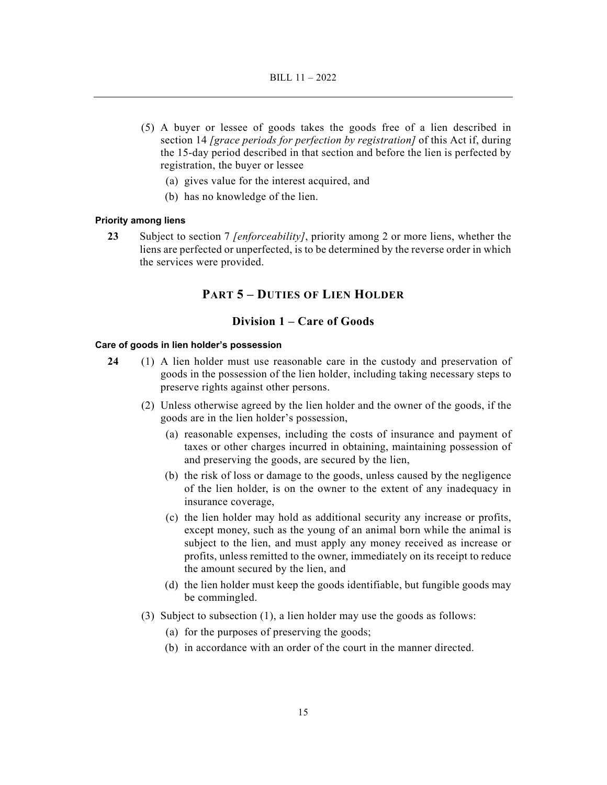- (5) A buyer or lessee of goods takes the goods free of a lien described in section 14 *[grace periods for perfection by registration]* of this Act if, during the 15-day period described in that section and before the lien is perfected by registration, the buyer or lessee
	- (a) gives value for the interest acquired, and
	- (b) has no knowledge of the lien.

## **Priority among liens**

**23** Subject to section 7 *[enforceability]*, priority among 2 or more liens, whether the liens are perfected or unperfected, is to be determined by the reverse order in which the services were provided.

## **PART 5 – DUTIES OF LIEN HOLDER**

## **Division 1 – Care of Goods**

#### **Care of goods in lien holder's possession**

- **24** (1) A lien holder must use reasonable care in the custody and preservation of goods in the possession of the lien holder, including taking necessary steps to preserve rights against other persons.
	- (2) Unless otherwise agreed by the lien holder and the owner of the goods, if the goods are in the lien holder's possession,
		- (a) reasonable expenses, including the costs of insurance and payment of taxes or other charges incurred in obtaining, maintaining possession of and preserving the goods, are secured by the lien,
		- (b) the risk of loss or damage to the goods, unless caused by the negligence of the lien holder, is on the owner to the extent of any inadequacy in insurance coverage,
		- (c) the lien holder may hold as additional security any increase or profits, except money, such as the young of an animal born while the animal is subject to the lien, and must apply any money received as increase or profits, unless remitted to the owner, immediately on its receipt to reduce the amount secured by the lien, and
		- (d) the lien holder must keep the goods identifiable, but fungible goods may be commingled.
	- (3) Subject to subsection (1), a lien holder may use the goods as follows:
		- (a) for the purposes of preserving the goods;
		- (b) in accordance with an order of the court in the manner directed.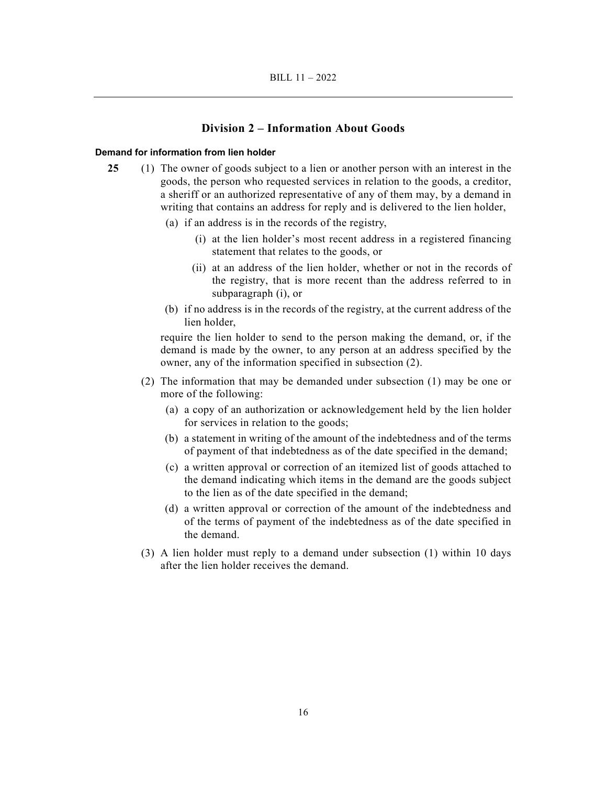## **Division 2 – Information About Goods**

#### **Demand for information from lien holder**

- **25** (1) The owner of goods subject to a lien or another person with an interest in the goods, the person who requested services in relation to the goods, a creditor, a sheriff or an authorized representative of any of them may, by a demand in writing that contains an address for reply and is delivered to the lien holder,
	- (a) if an address is in the records of the registry,
		- (i) at the lien holder's most recent address in a registered financing statement that relates to the goods, or
		- (ii) at an address of the lien holder, whether or not in the records of the registry, that is more recent than the address referred to in subparagraph (i), or
	- (b) if no address is in the records of the registry, at the current address of the lien holder,

require the lien holder to send to the person making the demand, or, if the demand is made by the owner, to any person at an address specified by the owner, any of the information specified in subsection (2).

- (2) The information that may be demanded under subsection (1) may be one or more of the following:
	- (a) a copy of an authorization or acknowledgement held by the lien holder for services in relation to the goods;
	- (b) a statement in writing of the amount of the indebtedness and of the terms of payment of that indebtedness as of the date specified in the demand;
	- (c) a written approval or correction of an itemized list of goods attached to the demand indicating which items in the demand are the goods subject to the lien as of the date specified in the demand;
	- (d) a written approval or correction of the amount of the indebtedness and of the terms of payment of the indebtedness as of the date specified in the demand.
- (3) A lien holder must reply to a demand under subsection (1) within 10 days after the lien holder receives the demand.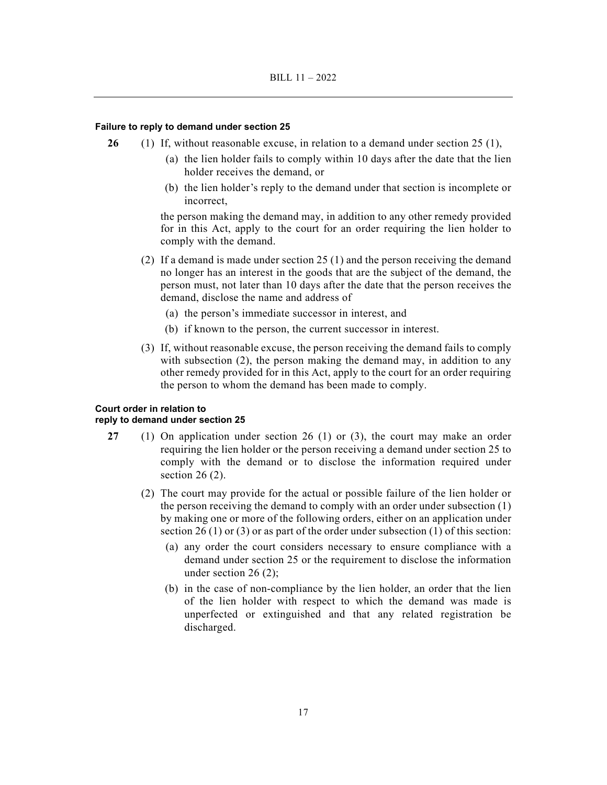#### **Failure to reply to demand under section 25**

- **26** (1) If, without reasonable excuse, in relation to a demand under section 25 (1),
	- (a) the lien holder fails to comply within 10 days after the date that the lien holder receives the demand, or
	- (b) the lien holder's reply to the demand under that section is incomplete or incorrect,

the person making the demand may, in addition to any other remedy provided for in this Act, apply to the court for an order requiring the lien holder to comply with the demand.

- (2) If a demand is made under section 25 (1) and the person receiving the demand no longer has an interest in the goods that are the subject of the demand, the person must, not later than 10 days after the date that the person receives the demand, disclose the name and address of
	- (a) the person's immediate successor in interest, and
	- (b) if known to the person, the current successor in interest.
- (3) If, without reasonable excuse, the person receiving the demand fails to comply with subsection (2), the person making the demand may, in addition to any other remedy provided for in this Act, apply to the court for an order requiring the person to whom the demand has been made to comply.

#### **Court order in relation to reply to demand under section 25**

- **27** (1) On application under section 26 (1) or (3), the court may make an order requiring the lien holder or the person receiving a demand under section 25 to comply with the demand or to disclose the information required under section 26 (2).
	- (2) The court may provide for the actual or possible failure of the lien holder or the person receiving the demand to comply with an order under subsection (1) by making one or more of the following orders, either on an application under section 26 (1) or (3) or as part of the order under subsection (1) of this section:
		- (a) any order the court considers necessary to ensure compliance with a demand under section 25 or the requirement to disclose the information under section 26 (2);
		- (b) in the case of non-compliance by the lien holder, an order that the lien of the lien holder with respect to which the demand was made is unperfected or extinguished and that any related registration be discharged.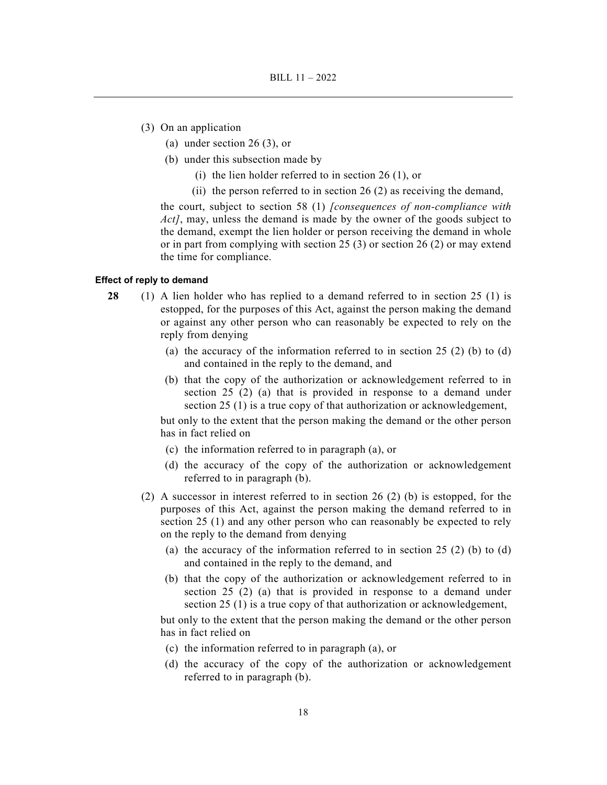- (3) On an application
	- (a) under section 26 (3), or
	- (b) under this subsection made by
		- (i) the lien holder referred to in section 26 (1), or
		- (ii) the person referred to in section  $26(2)$  as receiving the demand,

the court, subject to section 58 (1) *[consequences of non-compliance with Act]*, may, unless the demand is made by the owner of the goods subject to the demand, exempt the lien holder or person receiving the demand in whole or in part from complying with section 25 (3) or section 26 (2) or may extend the time for compliance.

#### **Effect of reply to demand**

- **28** (1) A lien holder who has replied to a demand referred to in section 25 (1) is estopped, for the purposes of this Act, against the person making the demand or against any other person who can reasonably be expected to rely on the reply from denying
	- (a) the accuracy of the information referred to in section 25 (2) (b) to (d) and contained in the reply to the demand, and
	- (b) that the copy of the authorization or acknowledgement referred to in section 25 (2) (a) that is provided in response to a demand under section 25 (1) is a true copy of that authorization or acknowledgement,

but only to the extent that the person making the demand or the other person has in fact relied on

- (c) the information referred to in paragraph (a), or
- (d) the accuracy of the copy of the authorization or acknowledgement referred to in paragraph (b).
- (2) A successor in interest referred to in section 26 (2) (b) is estopped, for the purposes of this Act, against the person making the demand referred to in section 25 (1) and any other person who can reasonably be expected to rely on the reply to the demand from denying
	- (a) the accuracy of the information referred to in section  $25(2)$  (b) to (d) and contained in the reply to the demand, and
	- (b) that the copy of the authorization or acknowledgement referred to in section 25 (2) (a) that is provided in response to a demand under section 25 (1) is a true copy of that authorization or acknowledgement,

but only to the extent that the person making the demand or the other person has in fact relied on

- (c) the information referred to in paragraph (a), or
- (d) the accuracy of the copy of the authorization or acknowledgement referred to in paragraph (b).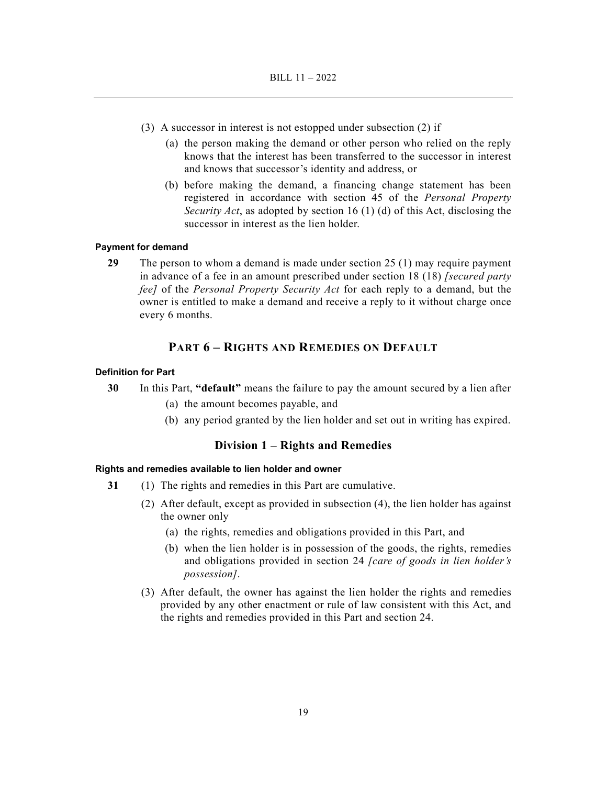- (3) A successor in interest is not estopped under subsection (2) if
	- (a) the person making the demand or other person who relied on the reply knows that the interest has been transferred to the successor in interest and knows that successor's identity and address, or
	- (b) before making the demand, a financing change statement has been registered in accordance with section 45 of the *Personal Property Security Act*, as adopted by section 16 (1) (d) of this Act, disclosing the successor in interest as the lien holder.

#### **Payment for demand**

**29** The person to whom a demand is made under section 25 (1) may require payment in advance of a fee in an amount prescribed under section 18 (18) *[secured party fee]* of the *Personal Property Security Act* for each reply to a demand, but the owner is entitled to make a demand and receive a reply to it without charge once every 6 months.

## **PART 6 – RIGHTS AND REMEDIES ON DEFAULT**

### **Definition for Part**

- **30** In this Part, **"default"** means the failure to pay the amount secured by a lien after
	- (a) the amount becomes payable, and
	- (b) any period granted by the lien holder and set out in writing has expired.

## **Division 1 – Rights and Remedies**

### **Rights and remedies available to lien holder and owner**

- **31** (1) The rights and remedies in this Part are cumulative.
	- (2) After default, except as provided in subsection (4), the lien holder has against the owner only
		- (a) the rights, remedies and obligations provided in this Part, and
		- (b) when the lien holder is in possession of the goods, the rights, remedies and obligations provided in section 24 *[care of goods in lien holder's possession]*.
	- (3) After default, the owner has against the lien holder the rights and remedies provided by any other enactment or rule of law consistent with this Act, and the rights and remedies provided in this Part and section 24.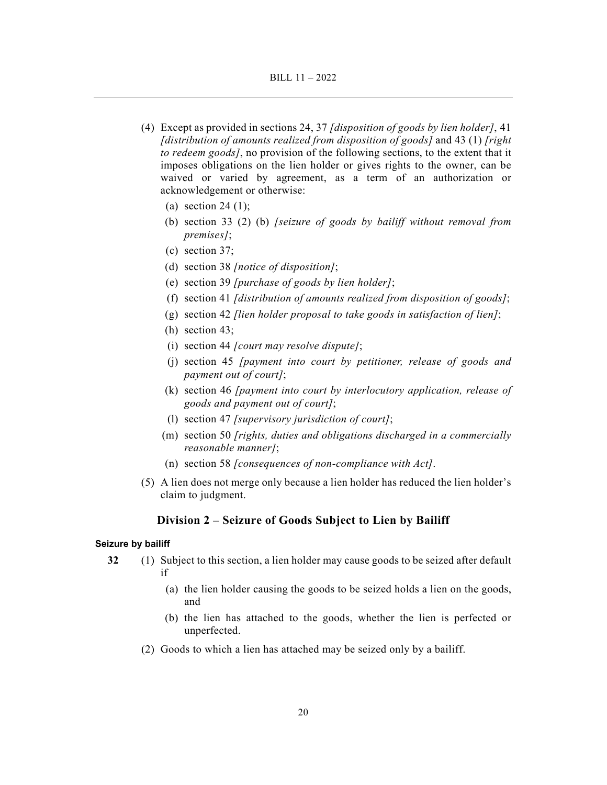- (4) Except as provided in sections 24, 37 *[disposition of goods by lien holder]*, 41 *[distribution of amounts realized from disposition of goods]* and 43 (1) *[right to redeem goods]*, no provision of the following sections, to the extent that it imposes obligations on the lien holder or gives rights to the owner, can be waived or varied by agreement, as a term of an authorization or acknowledgement or otherwise:
	- (a) section 24 (1);
	- (b) section 33 (2) (b) *[seizure of goods by bailiff without removal from premises]*;
	- (c) section 37;
	- (d) section 38 *[notice of disposition]*;
	- (e) section 39 *[purchase of goods by lien holder]*;
	- (f) section 41 *[distribution of amounts realized from disposition of goods]*;
	- (g) section 42 *[lien holder proposal to take goods in satisfaction of lien]*;
	- (h) section 43;
	- (i) section 44 *[court may resolve dispute]*;
	- (j) section 45 *[payment into court by petitioner, release of goods and payment out of court]*;
	- (k) section 46 *[payment into court by interlocutory application, release of goods and payment out of court]*;
	- (l) section 47 *[supervisory jurisdiction of court]*;
	- (m) section 50 *[rights, duties and obligations discharged in a commercially reasonable manner]*;
	- (n) section 58 *[consequences of non-compliance with Act]*.
- (5) A lien does not merge only because a lien holder has reduced the lien holder's claim to judgment.

## **Division 2 – Seizure of Goods Subject to Lien by Bailiff**

#### **Seizure by bailiff**

- **32** (1) Subject to this section, a lien holder may cause goods to be seized after default if
	- (a) the lien holder causing the goods to be seized holds a lien on the goods, and
	- (b) the lien has attached to the goods, whether the lien is perfected or unperfected.
	- (2) Goods to which a lien has attached may be seized only by a bailiff.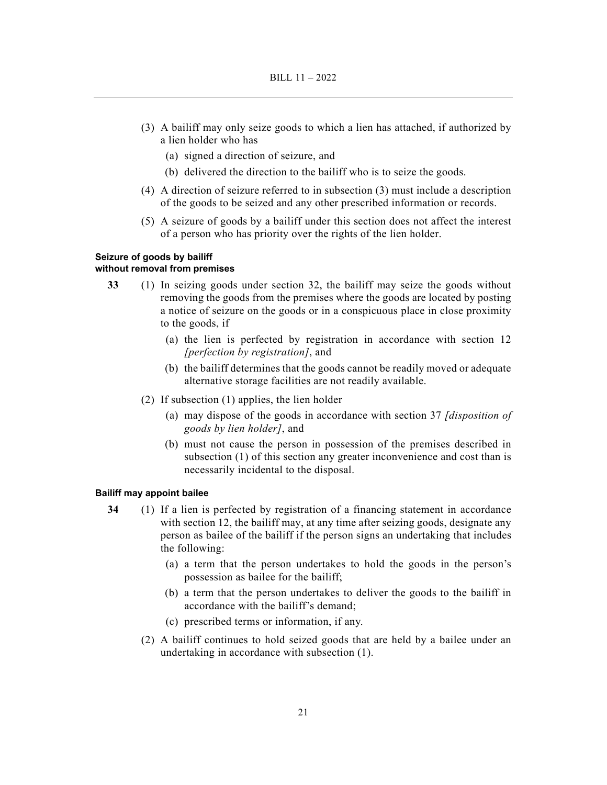- (3) A bailiff may only seize goods to which a lien has attached, if authorized by a lien holder who has
	- (a) signed a direction of seizure, and
	- (b) delivered the direction to the bailiff who is to seize the goods.
- (4) A direction of seizure referred to in subsection (3) must include a description of the goods to be seized and any other prescribed information or records.
- (5) A seizure of goods by a bailiff under this section does not affect the interest of a person who has priority over the rights of the lien holder.

#### **Seizure of goods by bailiff without removal from premises**

- **33** (1) In seizing goods under section 32, the bailiff may seize the goods without removing the goods from the premises where the goods are located by posting a notice of seizure on the goods or in a conspicuous place in close proximity to the goods, if
	- (a) the lien is perfected by registration in accordance with section 12 *[perfection by registration]*, and
	- (b) the bailiff determines that the goods cannot be readily moved or adequate alternative storage facilities are not readily available.
	- (2) If subsection (1) applies, the lien holder
		- (a) may dispose of the goods in accordance with section 37 *[disposition of goods by lien holder]*, and
		- (b) must not cause the person in possession of the premises described in subsection (1) of this section any greater inconvenience and cost than is necessarily incidental to the disposal.

### **Bailiff may appoint bailee**

- **34** (1) If a lien is perfected by registration of a financing statement in accordance with section 12, the bailiff may, at any time after seizing goods, designate any person as bailee of the bailiff if the person signs an undertaking that includes the following:
	- (a) a term that the person undertakes to hold the goods in the person's possession as bailee for the bailiff;
	- (b) a term that the person undertakes to deliver the goods to the bailiff in accordance with the bailiff's demand;
	- (c) prescribed terms or information, if any.
	- (2) A bailiff continues to hold seized goods that are held by a bailee under an undertaking in accordance with subsection (1).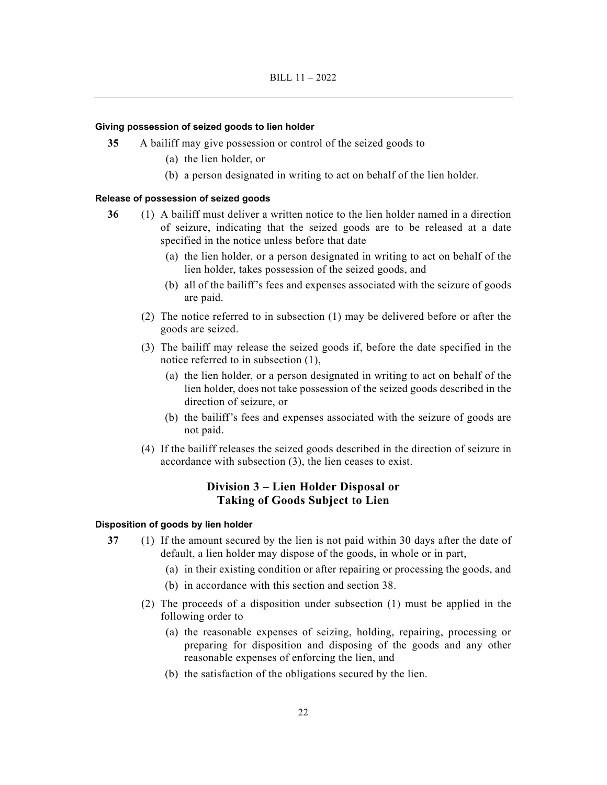#### **Giving possession of seized goods to lien holder**

- **35** A bailiff may give possession or control of the seized goods to
	- (a) the lien holder, or
	- (b) a person designated in writing to act on behalf of the lien holder.

#### **Release of possession of seized goods**

- **36** (1) A bailiff must deliver a written notice to the lien holder named in a direction of seizure, indicating that the seized goods are to be released at a date specified in the notice unless before that date
	- (a) the lien holder, or a person designated in writing to act on behalf of the lien holder, takes possession of the seized goods, and
	- (b) all of the bailiff's fees and expenses associated with the seizure of goods are paid.
	- (2) The notice referred to in subsection (1) may be delivered before or after the goods are seized.
	- (3) The bailiff may release the seized goods if, before the date specified in the notice referred to in subsection (1),
		- (a) the lien holder, or a person designated in writing to act on behalf of the lien holder, does not take possession of the seized goods described in the direction of seizure, or
		- (b) the bailiff's fees and expenses associated with the seizure of goods are not paid.
	- (4) If the bailiff releases the seized goods described in the direction of seizure in accordance with subsection (3), the lien ceases to exist.

## **Division 3 – Lien Holder Disposal or Taking of Goods Subject to Lien**

#### **Disposition of goods by lien holder**

- **37** (1) If the amount secured by the lien is not paid within 30 days after the date of default, a lien holder may dispose of the goods, in whole or in part,
	- (a) in their existing condition or after repairing or processing the goods, and
	- (b) in accordance with this section and section 38.
	- (2) The proceeds of a disposition under subsection (1) must be applied in the following order to
		- (a) the reasonable expenses of seizing, holding, repairing, processing or preparing for disposition and disposing of the goods and any other reasonable expenses of enforcing the lien, and
		- (b) the satisfaction of the obligations secured by the lien.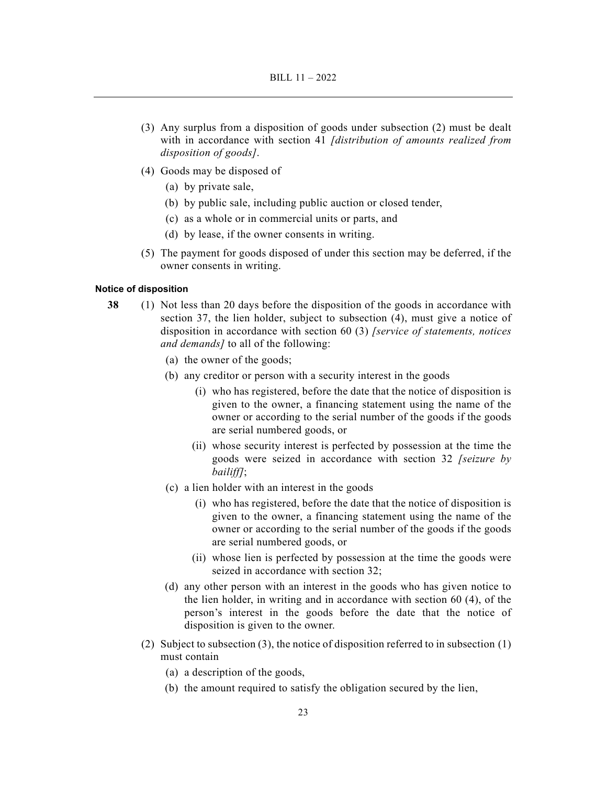- (3) Any surplus from a disposition of goods under subsection (2) must be dealt with in accordance with section 41 *[distribution of amounts realized from disposition of goods]*.
- (4) Goods may be disposed of
	- (a) by private sale,
	- (b) by public sale, including public auction or closed tender,
	- (c) as a whole or in commercial units or parts, and
	- (d) by lease, if the owner consents in writing.
- (5) The payment for goods disposed of under this section may be deferred, if the owner consents in writing.

## **Notice of disposition**

- **38** (1) Not less than 20 days before the disposition of the goods in accordance with section 37, the lien holder, subject to subsection (4), must give a notice of disposition in accordance with section 60 (3) *[service of statements, notices and demands]* to all of the following:
	- (a) the owner of the goods;
	- (b) any creditor or person with a security interest in the goods
		- (i) who has registered, before the date that the notice of disposition is given to the owner, a financing statement using the name of the owner or according to the serial number of the goods if the goods are serial numbered goods, or
		- (ii) whose security interest is perfected by possession at the time the goods were seized in accordance with section 32 *[seizure by bailiff]*;
	- (c) a lien holder with an interest in the goods
		- (i) who has registered, before the date that the notice of disposition is given to the owner, a financing statement using the name of the owner or according to the serial number of the goods if the goods are serial numbered goods, or
		- (ii) whose lien is perfected by possession at the time the goods were seized in accordance with section 32;
	- (d) any other person with an interest in the goods who has given notice to the lien holder, in writing and in accordance with section 60 (4), of the person's interest in the goods before the date that the notice of disposition is given to the owner.
	- (2) Subject to subsection (3), the notice of disposition referred to in subsection  $(1)$ must contain
		- (a) a description of the goods,
		- (b) the amount required to satisfy the obligation secured by the lien,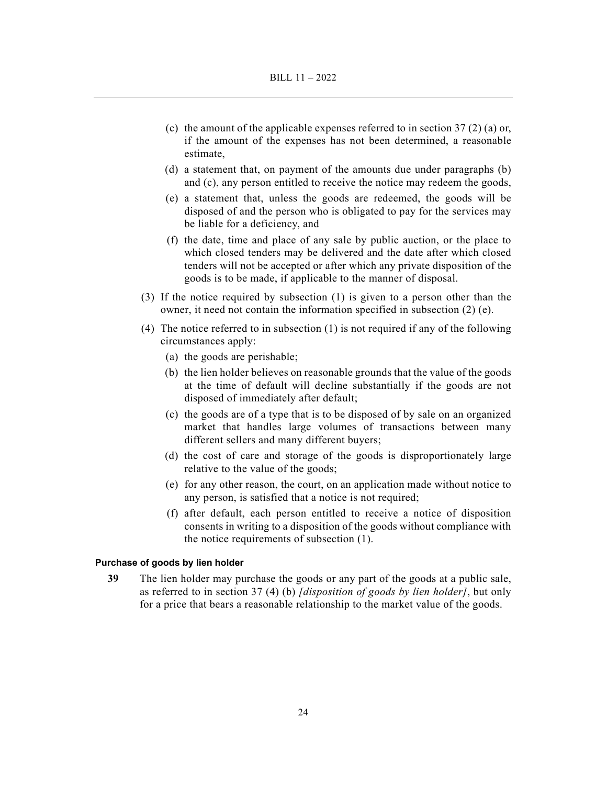- (c) the amount of the applicable expenses referred to in section  $37(2)$  (a) or, if the amount of the expenses has not been determined, a reasonable estimate,
- (d) a statement that, on payment of the amounts due under paragraphs (b) and (c), any person entitled to receive the notice may redeem the goods,
- (e) a statement that, unless the goods are redeemed, the goods will be disposed of and the person who is obligated to pay for the services may be liable for a deficiency, and
- (f) the date, time and place of any sale by public auction, or the place to which closed tenders may be delivered and the date after which closed tenders will not be accepted or after which any private disposition of the goods is to be made, if applicable to the manner of disposal.
- (3) If the notice required by subsection (1) is given to a person other than the owner, it need not contain the information specified in subsection (2) (e).
- (4) The notice referred to in subsection (1) is not required if any of the following circumstances apply:
	- (a) the goods are perishable;
	- (b) the lien holder believes on reasonable grounds that the value of the goods at the time of default will decline substantially if the goods are not disposed of immediately after default;
	- (c) the goods are of a type that is to be disposed of by sale on an organized market that handles large volumes of transactions between many different sellers and many different buyers;
	- (d) the cost of care and storage of the goods is disproportionately large relative to the value of the goods;
	- (e) for any other reason, the court, on an application made without notice to any person, is satisfied that a notice is not required;
	- (f) after default, each person entitled to receive a notice of disposition consents in writing to a disposition of the goods without compliance with the notice requirements of subsection (1).

#### **Purchase of goods by lien holder**

**39** The lien holder may purchase the goods or any part of the goods at a public sale, as referred to in section 37 (4) (b) *[disposition of goods by lien holder]*, but only for a price that bears a reasonable relationship to the market value of the goods.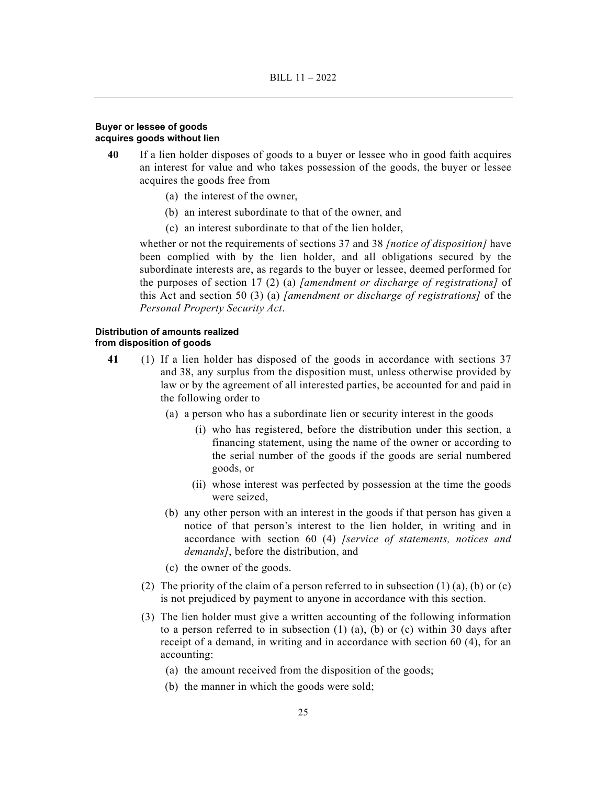## **Buyer or lessee of goods acquires goods without lien**

- **40** If a lien holder disposes of goods to a buyer or lessee who in good faith acquires an interest for value and who takes possession of the goods, the buyer or lessee acquires the goods free from
	- (a) the interest of the owner,
	- (b) an interest subordinate to that of the owner, and
	- (c) an interest subordinate to that of the lien holder,

whether or not the requirements of sections 37 and 38 *[notice of disposition]* have been complied with by the lien holder, and all obligations secured by the subordinate interests are, as regards to the buyer or lessee, deemed performed for the purposes of section 17 (2) (a) *[amendment or discharge of registrations]* of this Act and section 50 (3) (a) *[amendment or discharge of registrations]* of the *Personal Property Security Act*.

## **Distribution of amounts realized from disposition of goods**

- **41** (1) If a lien holder has disposed of the goods in accordance with sections 37 and 38, any surplus from the disposition must, unless otherwise provided by law or by the agreement of all interested parties, be accounted for and paid in the following order to
	- (a) a person who has a subordinate lien or security interest in the goods
		- (i) who has registered, before the distribution under this section, a financing statement, using the name of the owner or according to the serial number of the goods if the goods are serial numbered goods, or
		- (ii) whose interest was perfected by possession at the time the goods were seized,
	- (b) any other person with an interest in the goods if that person has given a notice of that person's interest to the lien holder, in writing and in accordance with section 60 (4) *[service of statements, notices and demands]*, before the distribution, and
	- (c) the owner of the goods.
	- (2) The priority of the claim of a person referred to in subsection  $(1)$  (a), (b) or (c) is not prejudiced by payment to anyone in accordance with this section.
	- (3) The lien holder must give a written accounting of the following information to a person referred to in subsection  $(1)$   $(a)$ ,  $(b)$  or  $(c)$  within 30 days after receipt of a demand, in writing and in accordance with section 60 (4), for an accounting:
		- (a) the amount received from the disposition of the goods;
		- (b) the manner in which the goods were sold;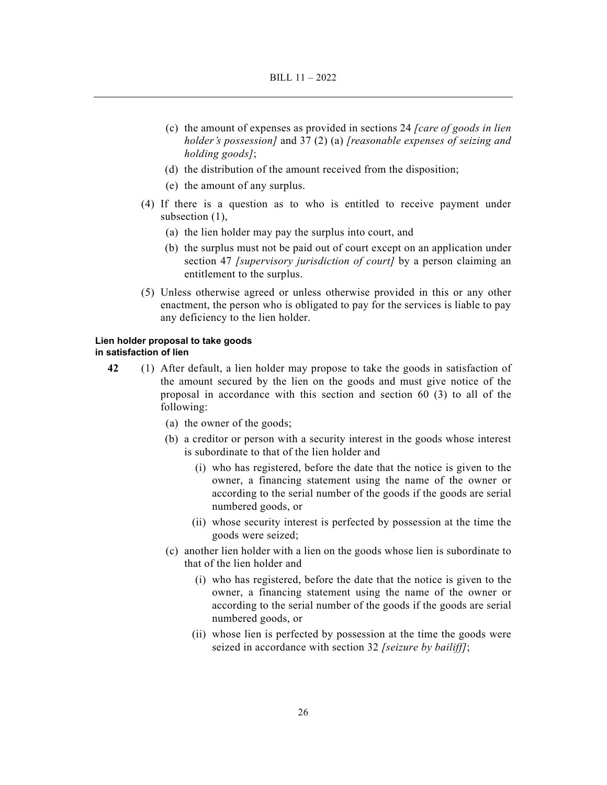- (c) the amount of expenses as provided in sections 24 *[care of goods in lien holder's possession]* and 37 (2) (a) *[reasonable expenses of seizing and holding goods]*;
- (d) the distribution of the amount received from the disposition;
- (e) the amount of any surplus.
- (4) If there is a question as to who is entitled to receive payment under subsection (1),
	- (a) the lien holder may pay the surplus into court, and
	- (b) the surplus must not be paid out of court except on an application under section 47 *[supervisory jurisdiction of court]* by a person claiming an entitlement to the surplus.
- (5) Unless otherwise agreed or unless otherwise provided in this or any other enactment, the person who is obligated to pay for the services is liable to pay any deficiency to the lien holder.

## **Lien holder proposal to take goods in satisfaction of lien**

- **42** (1) After default, a lien holder may propose to take the goods in satisfaction of the amount secured by the lien on the goods and must give notice of the proposal in accordance with this section and section 60 (3) to all of the following:
	- (a) the owner of the goods;
	- (b) a creditor or person with a security interest in the goods whose interest is subordinate to that of the lien holder and
		- (i) who has registered, before the date that the notice is given to the owner, a financing statement using the name of the owner or according to the serial number of the goods if the goods are serial numbered goods, or
		- (ii) whose security interest is perfected by possession at the time the goods were seized;
	- (c) another lien holder with a lien on the goods whose lien is subordinate to that of the lien holder and
		- (i) who has registered, before the date that the notice is given to the owner, a financing statement using the name of the owner or according to the serial number of the goods if the goods are serial numbered goods, or
		- (ii) whose lien is perfected by possession at the time the goods were seized in accordance with section 32 *[seizure by bailiff]*;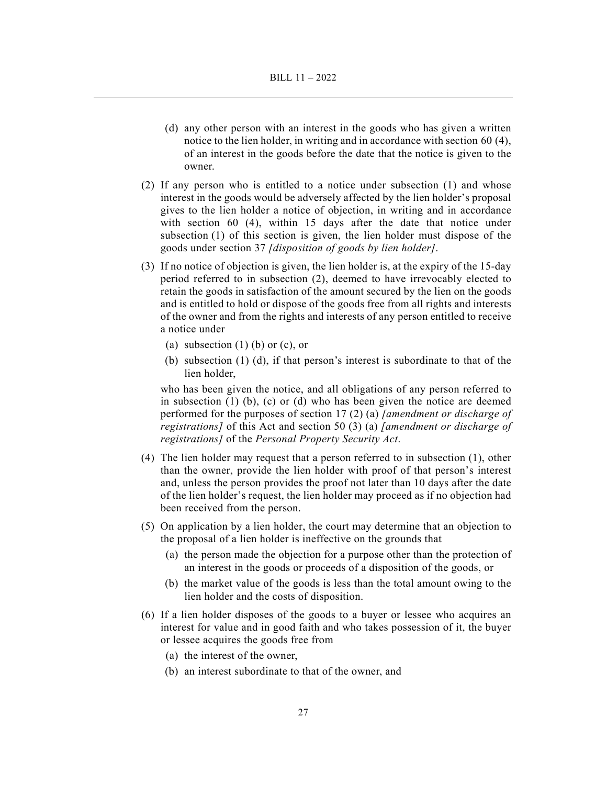- (d) any other person with an interest in the goods who has given a written notice to the lien holder, in writing and in accordance with section 60 (4), of an interest in the goods before the date that the notice is given to the owner.
- (2) If any person who is entitled to a notice under subsection (1) and whose interest in the goods would be adversely affected by the lien holder's proposal gives to the lien holder a notice of objection, in writing and in accordance with section 60 (4), within 15 days after the date that notice under subsection (1) of this section is given, the lien holder must dispose of the goods under section 37 *[disposition of goods by lien holder]*.
- (3) If no notice of objection is given, the lien holder is, at the expiry of the 15-day period referred to in subsection (2), deemed to have irrevocably elected to retain the goods in satisfaction of the amount secured by the lien on the goods and is entitled to hold or dispose of the goods free from all rights and interests of the owner and from the rights and interests of any person entitled to receive a notice under
	- (a) subsection  $(1)$  (b) or (c), or
	- (b) subsection (1) (d), if that person's interest is subordinate to that of the lien holder,

who has been given the notice, and all obligations of any person referred to in subsection (1) (b), (c) or (d) who has been given the notice are deemed performed for the purposes of section 17 (2) (a) *[amendment or discharge of registrations]* of this Act and section 50 (3) (a) *[amendment or discharge of registrations]* of the *Personal Property Security Act*.

- (4) The lien holder may request that a person referred to in subsection (1), other than the owner, provide the lien holder with proof of that person's interest and, unless the person provides the proof not later than 10 days after the date of the lien holder's request, the lien holder may proceed as if no objection had been received from the person.
- (5) On application by a lien holder, the court may determine that an objection to the proposal of a lien holder is ineffective on the grounds that
	- (a) the person made the objection for a purpose other than the protection of an interest in the goods or proceeds of a disposition of the goods, or
	- (b) the market value of the goods is less than the total amount owing to the lien holder and the costs of disposition.
- (6) If a lien holder disposes of the goods to a buyer or lessee who acquires an interest for value and in good faith and who takes possession of it, the buyer or lessee acquires the goods free from
	- (a) the interest of the owner,
	- (b) an interest subordinate to that of the owner, and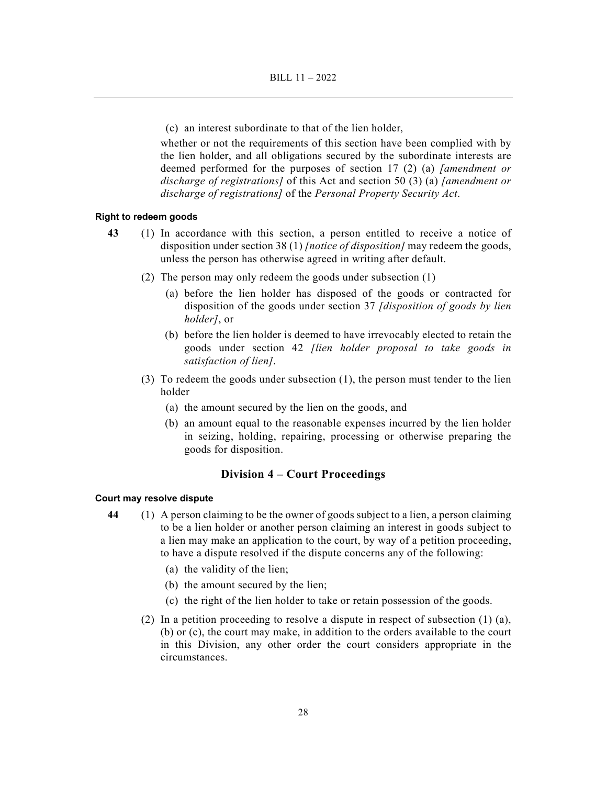(c) an interest subordinate to that of the lien holder,

whether or not the requirements of this section have been complied with by the lien holder, and all obligations secured by the subordinate interests are deemed performed for the purposes of section 17 (2) (a) *[amendment or discharge of registrations]* of this Act and section 50 (3) (a) *[amendment or discharge of registrations]* of the *Personal Property Security Act*.

#### **Right to redeem goods**

- **43** (1) In accordance with this section, a person entitled to receive a notice of disposition under section 38 (1) *[notice of disposition]* may redeem the goods, unless the person has otherwise agreed in writing after default.
	- (2) The person may only redeem the goods under subsection (1)
		- (a) before the lien holder has disposed of the goods or contracted for disposition of the goods under section 37 *[disposition of goods by lien holder]*, or
		- (b) before the lien holder is deemed to have irrevocably elected to retain the goods under section 42 *[lien holder proposal to take goods in satisfaction of lien]*.
	- (3) To redeem the goods under subsection (1), the person must tender to the lien holder
		- (a) the amount secured by the lien on the goods, and
		- (b) an amount equal to the reasonable expenses incurred by the lien holder in seizing, holding, repairing, processing or otherwise preparing the goods for disposition.

## **Division 4 – Court Proceedings**

#### **Court may resolve dispute**

- **44** (1) A person claiming to be the owner of goods subject to a lien, a person claiming to be a lien holder or another person claiming an interest in goods subject to a lien may make an application to the court, by way of a petition proceeding, to have a dispute resolved if the dispute concerns any of the following:
	- (a) the validity of the lien;
	- (b) the amount secured by the lien;
	- (c) the right of the lien holder to take or retain possession of the goods.
	- (2) In a petition proceeding to resolve a dispute in respect of subsection  $(1)$  (a), (b) or (c), the court may make, in addition to the orders available to the court in this Division, any other order the court considers appropriate in the circumstances.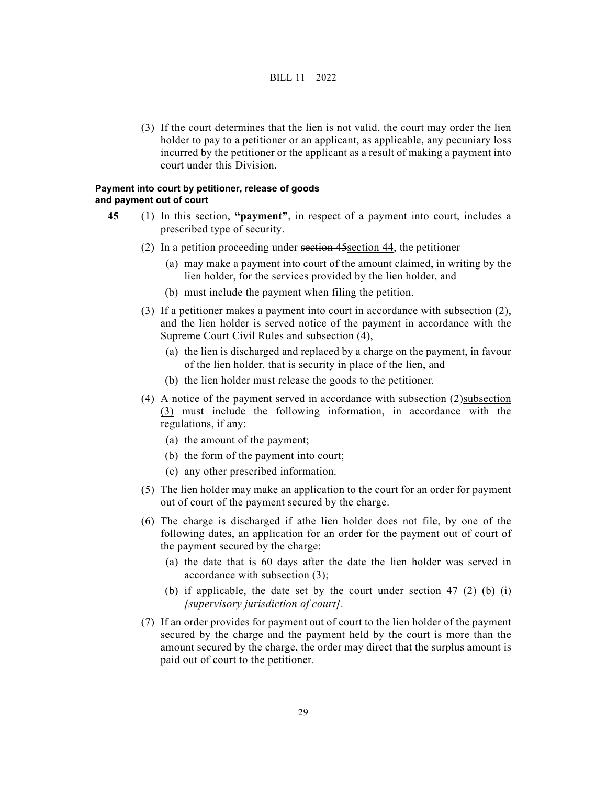(3) If the court determines that the lien is not valid, the court may order the lien holder to pay to a petitioner or an applicant, as applicable, any pecuniary loss incurred by the petitioner or the applicant as a result of making a payment into court under this Division.

#### **Payment into court by petitioner, release of goods and payment out of court**

- **45** (1) In this section, **"payment"**, in respect of a payment into court, includes a prescribed type of security.
	- (2) In a petition proceeding under section 45section 44, the petitioner
		- (a) may make a payment into court of the amount claimed, in writing by the lien holder, for the services provided by the lien holder, and
		- (b) must include the payment when filing the petition.
	- (3) If a petitioner makes a payment into court in accordance with subsection (2), and the lien holder is served notice of the payment in accordance with the Supreme Court Civil Rules and subsection (4),
		- (a) the lien is discharged and replaced by a charge on the payment, in favour of the lien holder, that is security in place of the lien, and
		- (b) the lien holder must release the goods to the petitioner.
	- (4) A notice of the payment served in accordance with subsection (2)subsection (3) must include the following information, in accordance with the regulations, if any:
		- (a) the amount of the payment;
		- (b) the form of the payment into court;
		- (c) any other prescribed information.
	- (5) The lien holder may make an application to the court for an order for payment out of court of the payment secured by the charge.
	- (6) The charge is discharged if athe lien holder does not file, by one of the following dates, an application for an order for the payment out of court of the payment secured by the charge:
		- (a) the date that is 60 days after the date the lien holder was served in accordance with subsection (3);
		- (b) if applicable, the date set by the court under section 47 (2) (b) (i) *[supervisory jurisdiction of court]*.
	- (7) If an order provides for payment out of court to the lien holder of the payment secured by the charge and the payment held by the court is more than the amount secured by the charge, the order may direct that the surplus amount is paid out of court to the petitioner.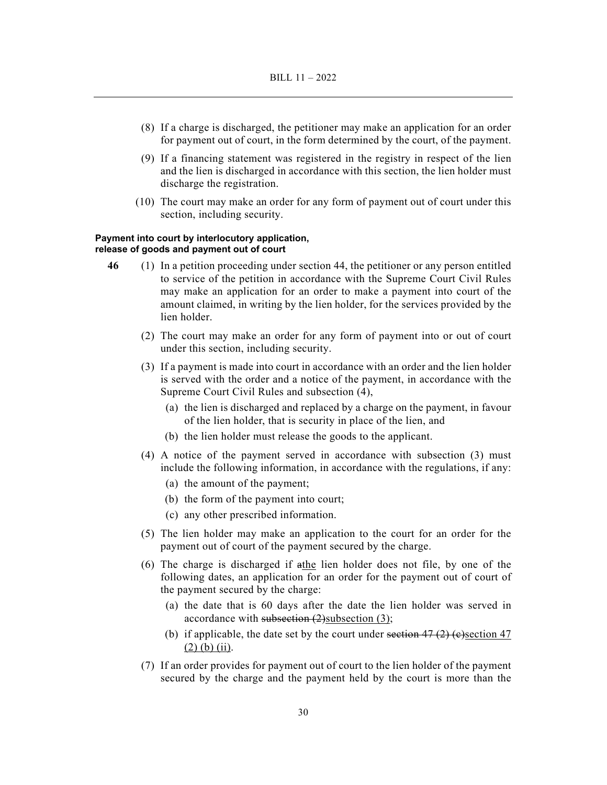- (8) If a charge is discharged, the petitioner may make an application for an order for payment out of court, in the form determined by the court, of the payment.
- (9) If a financing statement was registered in the registry in respect of the lien and the lien is discharged in accordance with this section, the lien holder must discharge the registration.
- (10) The court may make an order for any form of payment out of court under this section, including security.

#### **Payment into court by interlocutory application, release of goods and payment out of court**

- **46** (1) In a petition proceeding under section 44, the petitioner or any person entitled to service of the petition in accordance with the Supreme Court Civil Rules may make an application for an order to make a payment into court of the amount claimed, in writing by the lien holder, for the services provided by the lien holder.
	- (2) The court may make an order for any form of payment into or out of court under this section, including security.
	- (3) If a payment is made into court in accordance with an order and the lien holder is served with the order and a notice of the payment, in accordance with the Supreme Court Civil Rules and subsection (4),
		- (a) the lien is discharged and replaced by a charge on the payment, in favour of the lien holder, that is security in place of the lien, and
		- (b) the lien holder must release the goods to the applicant.
	- (4) A notice of the payment served in accordance with subsection (3) must include the following information, in accordance with the regulations, if any:
		- (a) the amount of the payment;
		- (b) the form of the payment into court;
		- (c) any other prescribed information.
	- (5) The lien holder may make an application to the court for an order for the payment out of court of the payment secured by the charge.
	- (6) The charge is discharged if athe lien holder does not file, by one of the following dates, an application for an order for the payment out of court of the payment secured by the charge:
		- (a) the date that is 60 days after the date the lien holder was served in accordance with subsection  $(2)$ subsection  $(3)$ ;
		- (b) if applicable, the date set by the court under section  $47$  (2) (e)section 47  $(2)$  (b) (ii).
	- (7) If an order provides for payment out of court to the lien holder of the payment secured by the charge and the payment held by the court is more than the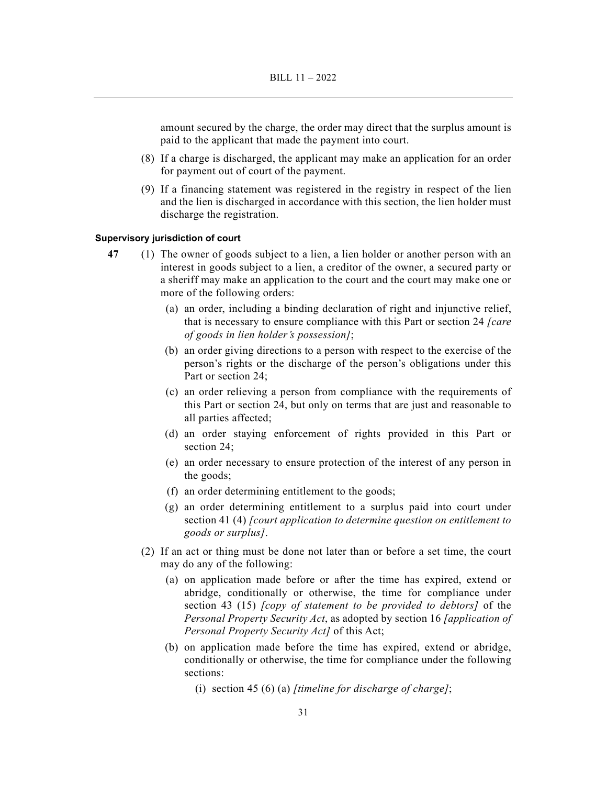amount secured by the charge, the order may direct that the surplus amount is paid to the applicant that made the payment into court.

- (8) If a charge is discharged, the applicant may make an application for an order for payment out of court of the payment.
- (9) If a financing statement was registered in the registry in respect of the lien and the lien is discharged in accordance with this section, the lien holder must discharge the registration.

#### **Supervisory jurisdiction of court**

- **47** (1) The owner of goods subject to a lien, a lien holder or another person with an interest in goods subject to a lien, a creditor of the owner, a secured party or a sheriff may make an application to the court and the court may make one or more of the following orders:
	- (a) an order, including a binding declaration of right and injunctive relief, that is necessary to ensure compliance with this Part or section 24 *[care of goods in lien holder's possession]*;
	- (b) an order giving directions to a person with respect to the exercise of the person's rights or the discharge of the person's obligations under this Part or section 24;
	- (c) an order relieving a person from compliance with the requirements of this Part or section 24, but only on terms that are just and reasonable to all parties affected;
	- (d) an order staying enforcement of rights provided in this Part or section 24;
	- (e) an order necessary to ensure protection of the interest of any person in the goods;
	- (f) an order determining entitlement to the goods;
	- (g) an order determining entitlement to a surplus paid into court under section 41 (4) *[court application to determine question on entitlement to goods or surplus]*.
	- (2) If an act or thing must be done not later than or before a set time, the court may do any of the following:
		- (a) on application made before or after the time has expired, extend or abridge, conditionally or otherwise, the time for compliance under section 43 (15) *[copy of statement to be provided to debtors]* of the *Personal Property Security Act*, as adopted by section 16 *[application of Personal Property Security Act]* of this Act;
		- (b) on application made before the time has expired, extend or abridge, conditionally or otherwise, the time for compliance under the following sections:

(i) section 45 (6) (a) *[timeline for discharge of charge]*;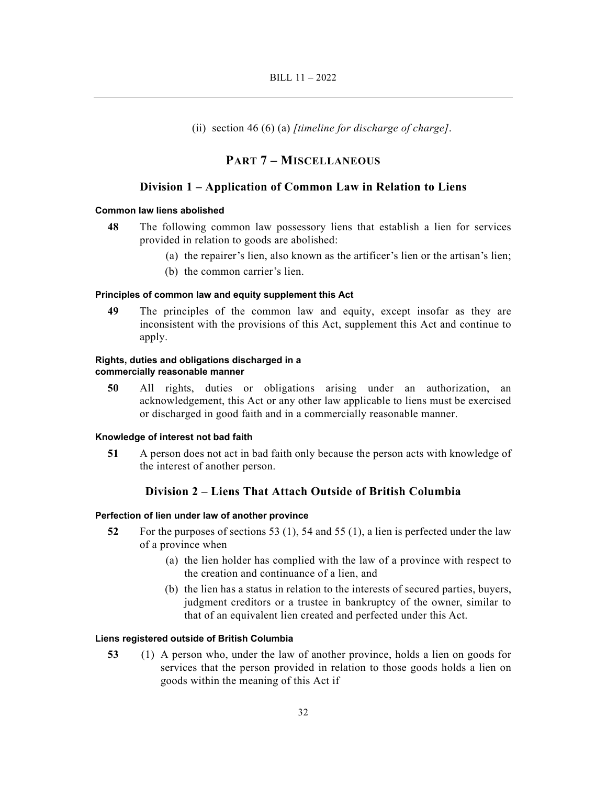(ii) section 46 (6) (a) *[timeline for discharge of charge]*.

## **PART 7 – MISCELLANEOUS**

## **Division 1 – Application of Common Law in Relation to Liens**

#### **Common law liens abolished**

- **48** The following common law possessory liens that establish a lien for services provided in relation to goods are abolished:
	- (a) the repairer's lien, also known as the artificer's lien or the artisan's lien;
	- (b) the common carrier's lien.

## **Principles of common law and equity supplement this Act**

**49** The principles of the common law and equity, except insofar as they are inconsistent with the provisions of this Act, supplement this Act and continue to apply.

## **Rights, duties and obligations discharged in a commercially reasonable manner**

**50** All rights, duties or obligations arising under an authorization, an acknowledgement, this Act or any other law applicable to liens must be exercised or discharged in good faith and in a commercially reasonable manner.

### **Knowledge of interest not bad faith**

**51** A person does not act in bad faith only because the person acts with knowledge of the interest of another person.

## **Division 2 – Liens That Attach Outside of British Columbia**

### **Perfection of lien under law of another province**

- **52** For the purposes of sections 53 (1), 54 and 55 (1), a lien is perfected under the law of a province when
	- (a) the lien holder has complied with the law of a province with respect to the creation and continuance of a lien, and
	- (b) the lien has a status in relation to the interests of secured parties, buyers, judgment creditors or a trustee in bankruptcy of the owner, similar to that of an equivalent lien created and perfected under this Act.

### **Liens registered outside of British Columbia**

**53** (1) A person who, under the law of another province, holds a lien on goods for services that the person provided in relation to those goods holds a lien on goods within the meaning of this Act if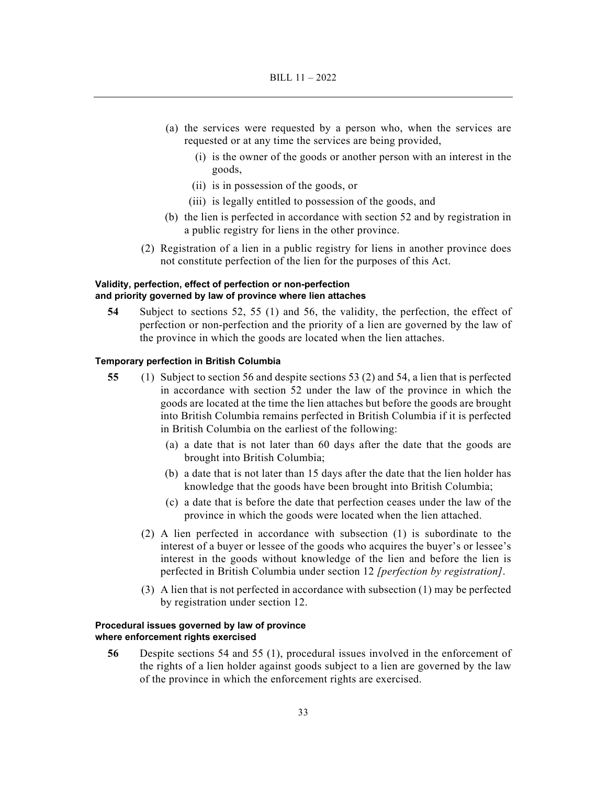- (a) the services were requested by a person who, when the services are requested or at any time the services are being provided,
	- (i) is the owner of the goods or another person with an interest in the goods,
	- (ii) is in possession of the goods, or
	- (iii) is legally entitled to possession of the goods, and
- (b) the lien is perfected in accordance with section 52 and by registration in a public registry for liens in the other province.
- (2) Registration of a lien in a public registry for liens in another province does not constitute perfection of the lien for the purposes of this Act.

## **Validity, perfection, effect of perfection or non-perfection and priority governed by law of province where lien attaches**

**54** Subject to sections 52, 55 (1) and 56, the validity, the perfection, the effect of perfection or non-perfection and the priority of a lien are governed by the law of the province in which the goods are located when the lien attaches.

#### **Temporary perfection in British Columbia**

- **55** (1) Subject to section 56 and despite sections 53 (2) and 54, a lien that is perfected in accordance with section 52 under the law of the province in which the goods are located at the time the lien attaches but before the goods are brought into British Columbia remains perfected in British Columbia if it is perfected in British Columbia on the earliest of the following:
	- (a) a date that is not later than 60 days after the date that the goods are brought into British Columbia;
	- (b) a date that is not later than 15 days after the date that the lien holder has knowledge that the goods have been brought into British Columbia;
	- (c) a date that is before the date that perfection ceases under the law of the province in which the goods were located when the lien attached.
	- (2) A lien perfected in accordance with subsection (1) is subordinate to the interest of a buyer or lessee of the goods who acquires the buyer's or lessee's interest in the goods without knowledge of the lien and before the lien is perfected in British Columbia under section 12 *[perfection by registration]*.
	- (3) A lien that is not perfected in accordance with subsection (1) may be perfected by registration under section 12.

#### **Procedural issues governed by law of province where enforcement rights exercised**

**56** Despite sections 54 and 55 (1), procedural issues involved in the enforcement of the rights of a lien holder against goods subject to a lien are governed by the law of the province in which the enforcement rights are exercised.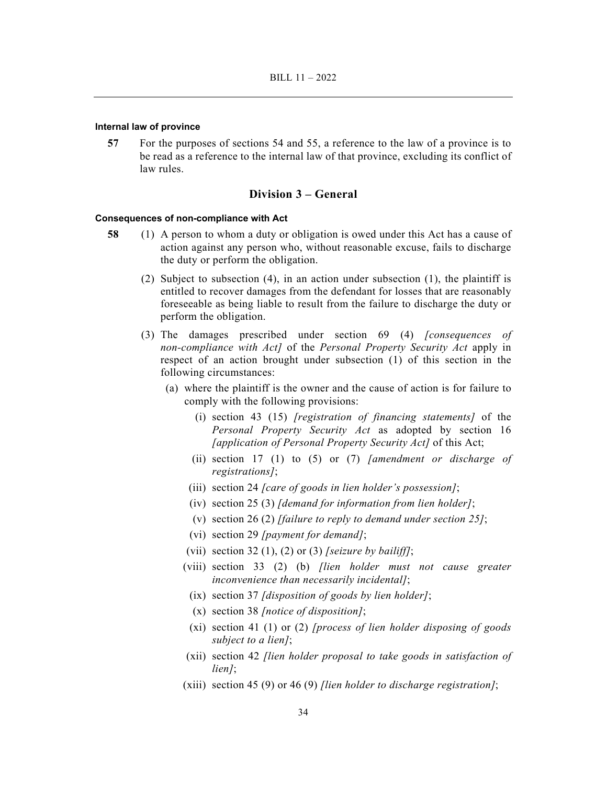#### **Internal law of province**

**57** For the purposes of sections 54 and 55, a reference to the law of a province is to be read as a reference to the internal law of that province, excluding its conflict of law rules.

## **Division 3 – General**

#### **Consequences of non-compliance with Act**

- **58** (1) A person to whom a duty or obligation is owed under this Act has a cause of action against any person who, without reasonable excuse, fails to discharge the duty or perform the obligation.
	- (2) Subject to subsection (4), in an action under subsection (1), the plaintiff is entitled to recover damages from the defendant for losses that are reasonably foreseeable as being liable to result from the failure to discharge the duty or perform the obligation.
	- (3) The damages prescribed under section 69 (4) *[consequences of non-compliance with Act]* of the *Personal Property Security Act* apply in respect of an action brought under subsection (1) of this section in the following circumstances:
		- (a) where the plaintiff is the owner and the cause of action is for failure to comply with the following provisions:
			- (i) section 43 (15) *[registration of financing statements]* of the *Personal Property Security Act* as adopted by section 16 *[application of Personal Property Security Act]* of this Act;
			- (ii) section 17 (1) to (5) or (7) *[amendment or discharge of registrations]*;
			- (iii) section 24 *[care of goods in lien holder's possession]*;
			- (iv) section 25 (3) *[demand for information from lien holder]*;
			- (v) section 26 (2) *[failure to reply to demand under section 25]*;
			- (vi) section 29 *[payment for demand]*;
			- (vii) section 32 (1), (2) or (3) *[seizure by bailiff]*;
			- (viii) section 33 (2) (b) *[lien holder must not cause greater inconvenience than necessarily incidental]*;
			- (ix) section 37 *[disposition of goods by lien holder]*;
			- (x) section 38 *[notice of disposition]*;
			- (xi) section 41 (1) or (2) *[process of lien holder disposing of goods subject to a lien]*;
			- (xii) section 42 *[lien holder proposal to take goods in satisfaction of lien]*;
			- (xiii) section 45 (9) or 46 (9) *[lien holder to discharge registration]*;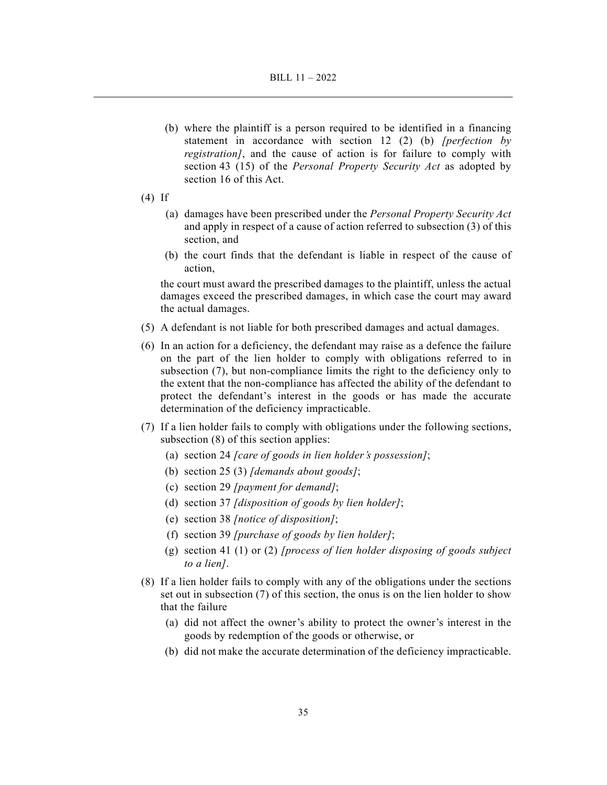- (b) where the plaintiff is a person required to be identified in a financing statement in accordance with section 12 (2) (b) *[perfection by registration]*, and the cause of action is for failure to comply with section 43 (15) of the *Personal Property Security Act* as adopted by section 16 of this Act.
- (4) If
	- (a) damages have been prescribed under the *Personal Property Security Act*  and apply in respect of a cause of action referred to subsection (3) of this section, and
	- (b) the court finds that the defendant is liable in respect of the cause of action,

the court must award the prescribed damages to the plaintiff, unless the actual damages exceed the prescribed damages, in which case the court may award the actual damages.

- (5) A defendant is not liable for both prescribed damages and actual damages.
- (6) In an action for a deficiency, the defendant may raise as a defence the failure on the part of the lien holder to comply with obligations referred to in subsection (7), but non-compliance limits the right to the deficiency only to the extent that the non-compliance has affected the ability of the defendant to protect the defendant's interest in the goods or has made the accurate determination of the deficiency impracticable.
- (7) If a lien holder fails to comply with obligations under the following sections, subsection (8) of this section applies:
	- (a) section 24 *[care of goods in lien holder's possession]*;
	- (b) section 25 (3) *[demands about goods]*;
	- (c) section 29 *[payment for demand]*;
	- (d) section 37 *[disposition of goods by lien holder]*;
	- (e) section 38 *[notice of disposition]*;
	- (f) section 39 *[purchase of goods by lien holder]*;
	- (g) section 41 (1) or (2) *[process of lien holder disposing of goods subject to a lien]*.
- (8) If a lien holder fails to comply with any of the obligations under the sections set out in subsection (7) of this section, the onus is on the lien holder to show that the failure
	- (a) did not affect the owner's ability to protect the owner's interest in the goods by redemption of the goods or otherwise, or
	- (b) did not make the accurate determination of the deficiency impracticable.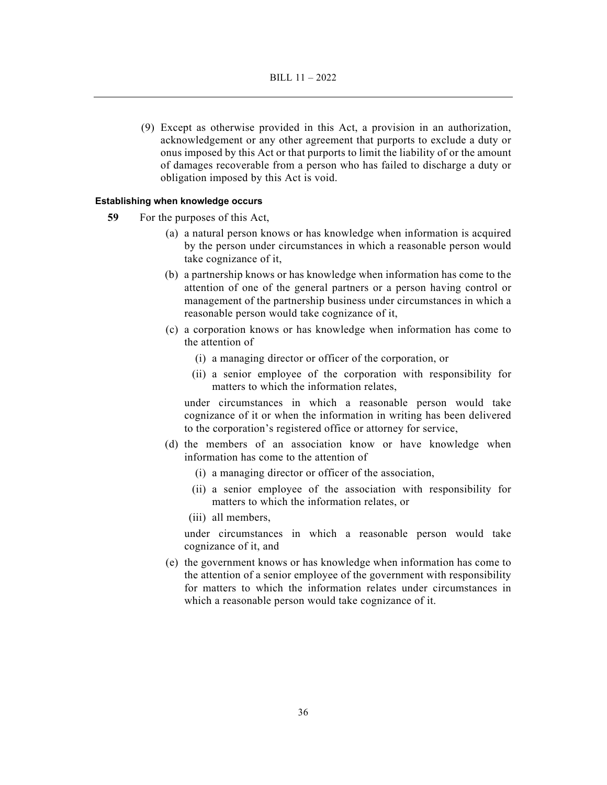(9) Except as otherwise provided in this Act, a provision in an authorization, acknowledgement or any other agreement that purports to exclude a duty or onus imposed by this Act or that purports to limit the liability of or the amount of damages recoverable from a person who has failed to discharge a duty or obligation imposed by this Act is void.

## **Establishing when knowledge occurs**

- **59** For the purposes of this Act,
	- (a) a natural person knows or has knowledge when information is acquired by the person under circumstances in which a reasonable person would take cognizance of it,
	- (b) a partnership knows or has knowledge when information has come to the attention of one of the general partners or a person having control or management of the partnership business under circumstances in which a reasonable person would take cognizance of it,
	- (c) a corporation knows or has knowledge when information has come to the attention of
		- (i) a managing director or officer of the corporation, or
		- (ii) a senior employee of the corporation with responsibility for matters to which the information relates,

under circumstances in which a reasonable person would take cognizance of it or when the information in writing has been delivered to the corporation's registered office or attorney for service,

- (d) the members of an association know or have knowledge when information has come to the attention of
	- (i) a managing director or officer of the association,
	- (ii) a senior employee of the association with responsibility for matters to which the information relates, or
	- (iii) all members,

under circumstances in which a reasonable person would take cognizance of it, and

 (e) the government knows or has knowledge when information has come to the attention of a senior employee of the government with responsibility for matters to which the information relates under circumstances in which a reasonable person would take cognizance of it.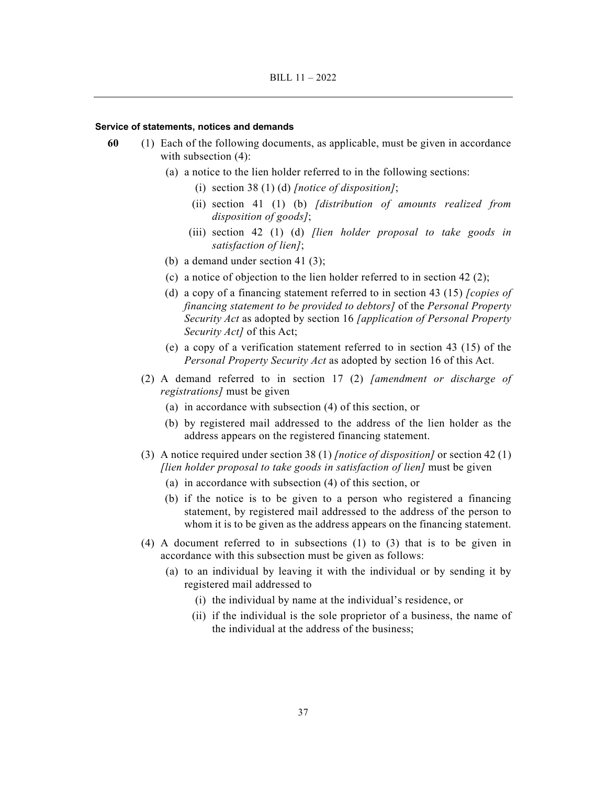#### **Service of statements, notices and demands**

- **60** (1) Each of the following documents, as applicable, must be given in accordance with subsection (4):
	- (a) a notice to the lien holder referred to in the following sections:
		- (i) section 38 (1) (d) *[notice of disposition]*;
		- (ii) section 41 (1) (b) *[distribution of amounts realized from disposition of goods]*;
		- (iii) section 42 (1) (d) *[lien holder proposal to take goods in satisfaction of lien]*;
	- (b) a demand under section 41 (3);
	- (c) a notice of objection to the lien holder referred to in section 42 (2);
	- (d) a copy of a financing statement referred to in section 43 (15) *[copies of financing statement to be provided to debtors]* of the *Personal Property Security Act* as adopted by section 16 *[application of Personal Property Security Act]* of this Act;
	- (e) a copy of a verification statement referred to in section 43 (15) of the *Personal Property Security Act* as adopted by section 16 of this Act.
	- (2) A demand referred to in section 17 (2) *[amendment or discharge of registrations]* must be given
		- (a) in accordance with subsection (4) of this section, or
		- (b) by registered mail addressed to the address of the lien holder as the address appears on the registered financing statement.
	- (3) A notice required under section 38 (1) *[notice of disposition]* or section 42 (1) *[lien holder proposal to take goods in satisfaction of lien]* must be given
		- (a) in accordance with subsection (4) of this section, or
		- (b) if the notice is to be given to a person who registered a financing statement, by registered mail addressed to the address of the person to whom it is to be given as the address appears on the financing statement.
	- (4) A document referred to in subsections (1) to (3) that is to be given in accordance with this subsection must be given as follows:
		- (a) to an individual by leaving it with the individual or by sending it by registered mail addressed to
			- (i) the individual by name at the individual's residence, or
			- (ii) if the individual is the sole proprietor of a business, the name of the individual at the address of the business;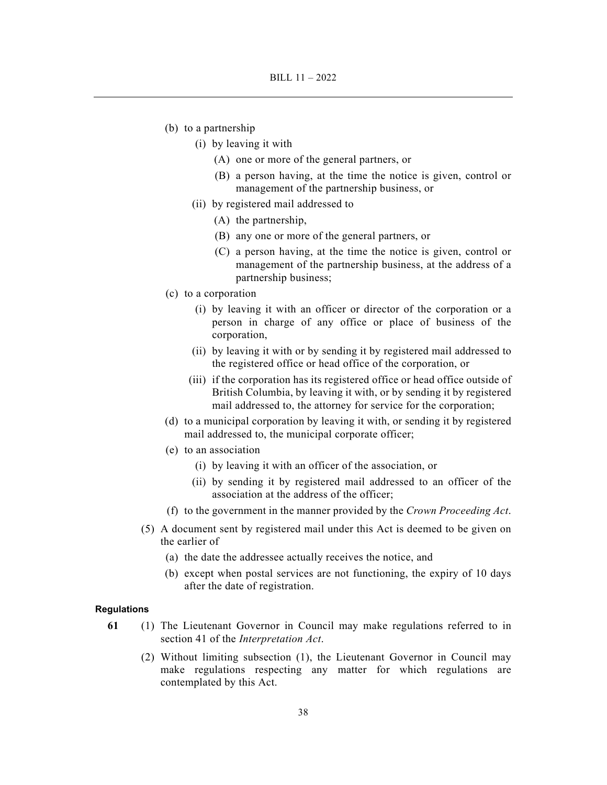- (b) to a partnership
	- (i) by leaving it with
		- (A) one or more of the general partners, or
		- (B) a person having, at the time the notice is given, control or management of the partnership business, or
	- (ii) by registered mail addressed to
		- (A) the partnership,
		- (B) any one or more of the general partners, or
		- (C) a person having, at the time the notice is given, control or management of the partnership business, at the address of a partnership business;
- (c) to a corporation
	- (i) by leaving it with an officer or director of the corporation or a person in charge of any office or place of business of the corporation,
	- (ii) by leaving it with or by sending it by registered mail addressed to the registered office or head office of the corporation, or
	- (iii) if the corporation has its registered office or head office outside of British Columbia, by leaving it with, or by sending it by registered mail addressed to, the attorney for service for the corporation;
- (d) to a municipal corporation by leaving it with, or sending it by registered mail addressed to, the municipal corporate officer;
- (e) to an association
	- (i) by leaving it with an officer of the association, or
	- (ii) by sending it by registered mail addressed to an officer of the association at the address of the officer;
- (f) to the government in the manner provided by the *Crown Proceeding Act*.
- (5) A document sent by registered mail under this Act is deemed to be given on the earlier of
	- (a) the date the addressee actually receives the notice, and
	- (b) except when postal services are not functioning, the expiry of 10 days after the date of registration.

#### **Regulations**

- **61** (1) The Lieutenant Governor in Council may make regulations referred to in section 41 of the *Interpretation Act*.
	- (2) Without limiting subsection (1), the Lieutenant Governor in Council may make regulations respecting any matter for which regulations are contemplated by this Act.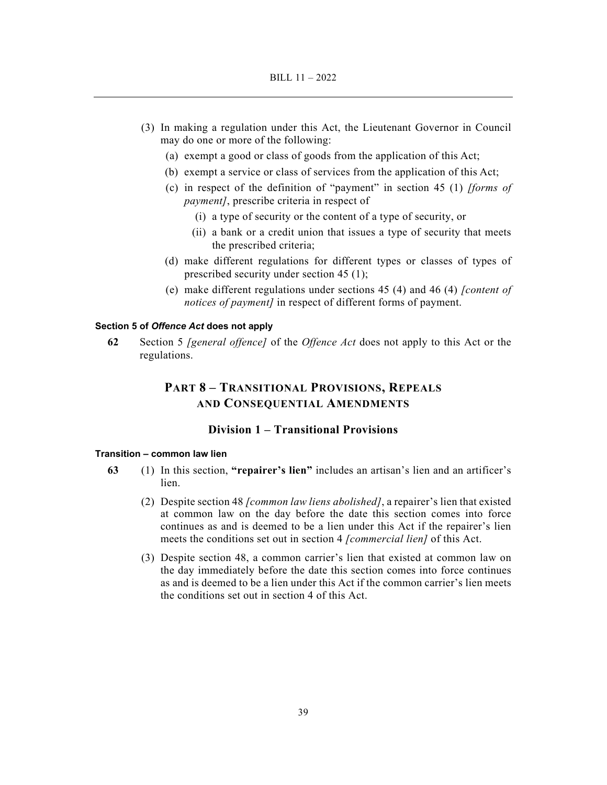- (3) In making a regulation under this Act, the Lieutenant Governor in Council may do one or more of the following:
	- (a) exempt a good or class of goods from the application of this Act;
	- (b) exempt a service or class of services from the application of this Act;
	- (c) in respect of the definition of "payment" in section 45 (1) *[forms of payment]*, prescribe criteria in respect of
		- (i) a type of security or the content of a type of security, or
		- (ii) a bank or a credit union that issues a type of security that meets the prescribed criteria;
	- (d) make different regulations for different types or classes of types of prescribed security under section 45 (1);
	- (e) make different regulations under sections 45 (4) and 46 (4) *[content of notices of payment]* in respect of different forms of payment.

## **Section 5 of** *Offence Act* **does not apply**

**62** Section 5 *[general offence]* of the *Offence Act* does not apply to this Act or the regulations.

# **PART 8 – TRANSITIONAL PROVISIONS, REPEALS AND CONSEQUENTIAL AMENDMENTS**

## **Division 1 – Transitional Provisions**

### **Transition – common law lien**

- **63** (1) In this section, **"repairer's lien"** includes an artisan's lien and an artificer's lien.
	- (2) Despite section 48 *[common law liens abolished]*, a repairer's lien that existed at common law on the day before the date this section comes into force continues as and is deemed to be a lien under this Act if the repairer's lien meets the conditions set out in section 4 *[commercial lien]* of this Act.
	- (3) Despite section 48, a common carrier's lien that existed at common law on the day immediately before the date this section comes into force continues as and is deemed to be a lien under this Act if the common carrier's lien meets the conditions set out in section 4 of this Act.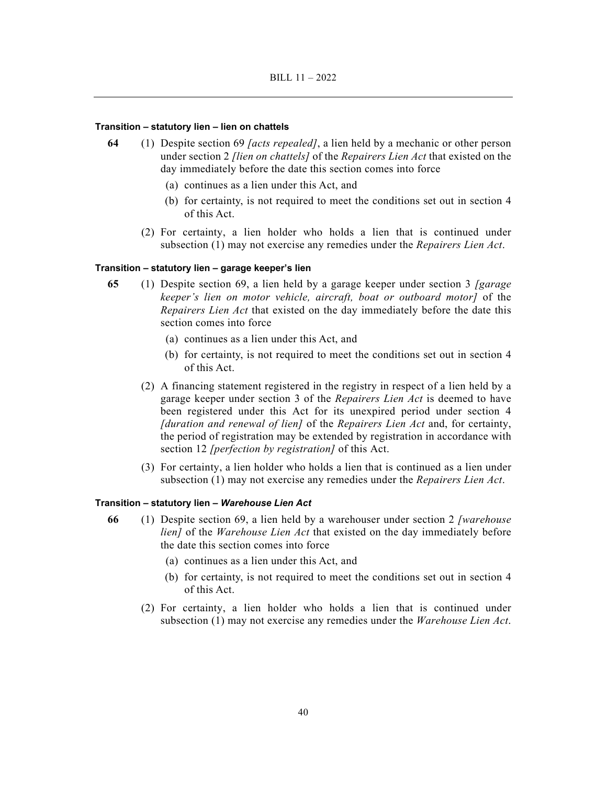### **Transition – statutory lien – lien on chattels**

- **64** (1) Despite section 69 *[acts repealed]*, a lien held by a mechanic or other person under section 2 *[lien on chattels]* of the *Repairers Lien Act* that existed on the day immediately before the date this section comes into force
	- (a) continues as a lien under this Act, and
	- (b) for certainty, is not required to meet the conditions set out in section 4 of this Act.
	- (2) For certainty, a lien holder who holds a lien that is continued under subsection (1) may not exercise any remedies under the *Repairers Lien Act*.

### **Transition – statutory lien – garage keeper's lien**

- **65** (1) Despite section 69, a lien held by a garage keeper under section 3 *[garage keeper's lien on motor vehicle, aircraft, boat or outboard motor]* of the *Repairers Lien Act* that existed on the day immediately before the date this section comes into force
	- (a) continues as a lien under this Act, and
	- (b) for certainty, is not required to meet the conditions set out in section 4 of this Act.
	- (2) A financing statement registered in the registry in respect of a lien held by a garage keeper under section 3 of the *Repairers Lien Act* is deemed to have been registered under this Act for its unexpired period under section 4 *[duration and renewal of lien]* of the *Repairers Lien Act* and, for certainty, the period of registration may be extended by registration in accordance with section 12 *[perfection by registration]* of this Act.
	- (3) For certainty, a lien holder who holds a lien that is continued as a lien under subsection (1) may not exercise any remedies under the *Repairers Lien Act*.

## **Transition – statutory lien –** *Warehouse Lien Act*

- **66** (1) Despite section 69, a lien held by a warehouser under section 2 *[warehouse lien]* of the *Warehouse Lien Act* that existed on the day immediately before the date this section comes into force
	- (a) continues as a lien under this Act, and
	- (b) for certainty, is not required to meet the conditions set out in section 4 of this Act.
	- (2) For certainty, a lien holder who holds a lien that is continued under subsection (1) may not exercise any remedies under the *Warehouse Lien Act*.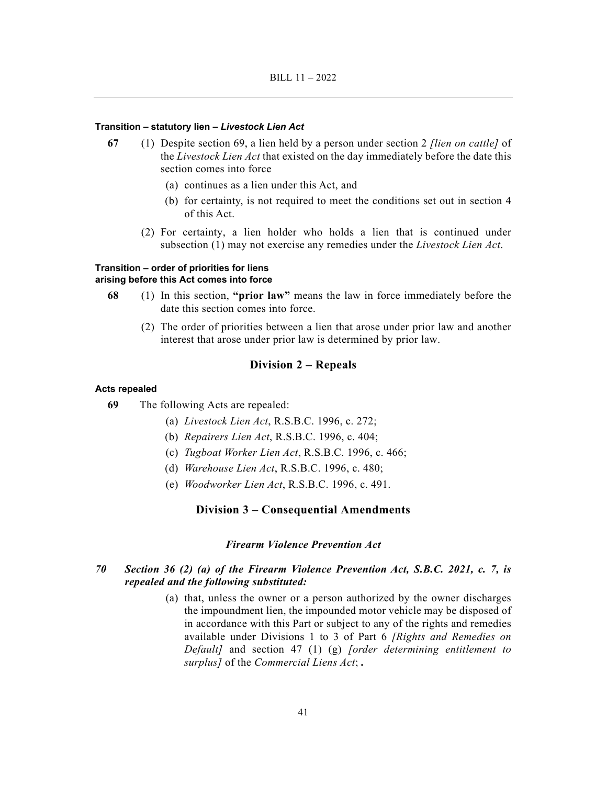### **Transition – statutory lien –** *Livestock Lien Act*

- **67** (1) Despite section 69, a lien held by a person under section 2 *[lien on cattle]* of the *Livestock Lien Act* that existed on the day immediately before the date this section comes into force
	- (a) continues as a lien under this Act, and
	- (b) for certainty, is not required to meet the conditions set out in section 4 of this Act.
	- (2) For certainty, a lien holder who holds a lien that is continued under subsection (1) may not exercise any remedies under the *Livestock Lien Act*.

## **Transition – order of priorities for liens arising before this Act comes into force**

- **68** (1) In this section, **"prior law"** means the law in force immediately before the date this section comes into force.
	- (2) The order of priorities between a lien that arose under prior law and another interest that arose under prior law is determined by prior law.

## **Division 2 – Repeals**

#### **Acts repealed**

- **69** The following Acts are repealed:
	- (a) *Livestock Lien Act*, R.S.B.C. 1996, c. 272;
	- (b) *Repairers Lien Act*, R.S.B.C. 1996, c. 404;
	- (c) *Tugboat Worker Lien Act*, R.S.B.C. 1996, c. 466;
	- (d) *Warehouse Lien Act*, R.S.B.C. 1996, c. 480;
	- (e) *Woodworker Lien Act*, R.S.B.C. 1996, c. 491.

### **Division 3 – Consequential Amendments**

### *Firearm Violence Prevention Act*

## *70 Section 36 (2) (a) of the Firearm Violence Prevention Act, S.B.C. 2021, c. 7, is repealed and the following substituted:*

 (a) that, unless the owner or a person authorized by the owner discharges the impoundment lien, the impounded motor vehicle may be disposed of in accordance with this Part or subject to any of the rights and remedies available under Divisions 1 to 3 of Part 6 *[Rights and Remedies on Default]* and section 47 (1) (g) *[order determining entitlement to surplus]* of the *Commercial Liens Act*; *.*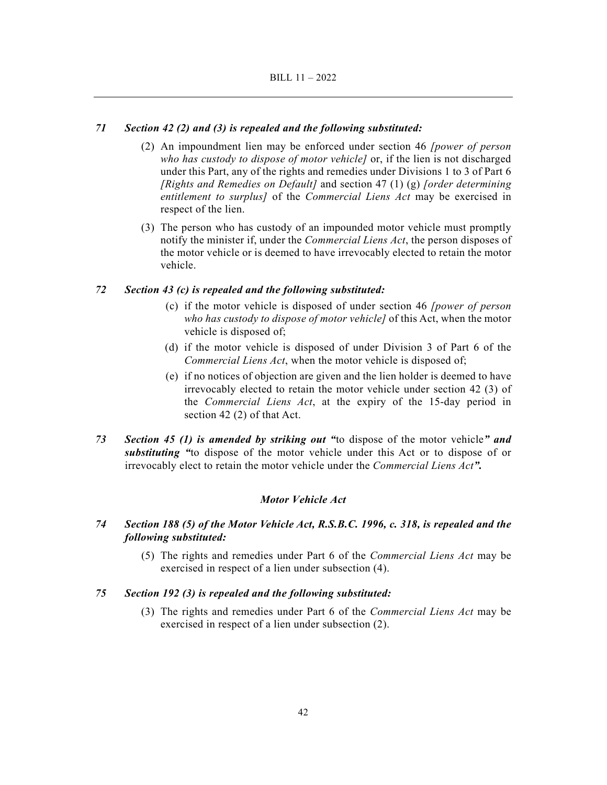### *71 Section 42 (2) and (3) is repealed and the following substituted:*

- (2) An impoundment lien may be enforced under section 46 *[power of person who has custody to dispose of motor vehicle]* or, if the lien is not discharged under this Part, any of the rights and remedies under Divisions 1 to 3 of Part 6 *[Rights and Remedies on Default]* and section 47 (1) (g) *[order determining entitlement to surplus]* of the *Commercial Liens Act* may be exercised in respect of the lien.
- (3) The person who has custody of an impounded motor vehicle must promptly notify the minister if, under the *Commercial Liens Act*, the person disposes of the motor vehicle or is deemed to have irrevocably elected to retain the motor vehicle.

## *72 Section 43 (c) is repealed and the following substituted:*

- (c) if the motor vehicle is disposed of under section 46 *[power of person who has custody to dispose of motor vehicle]* of this Act, when the motor vehicle is disposed of;
- (d) if the motor vehicle is disposed of under Division 3 of Part 6 of the *Commercial Liens Act*, when the motor vehicle is disposed of;
- (e) if no notices of objection are given and the lien holder is deemed to have irrevocably elected to retain the motor vehicle under section 42 (3) of the *Commercial Liens Act*, at the expiry of the 15-day period in section 42 (2) of that Act.
- *73 Section 45 (1) is amended by striking out "*to dispose of the motor vehicle*" and substituting "*to dispose of the motor vehicle under this Act or to dispose of or irrevocably elect to retain the motor vehicle under the *Commercial Liens Act".*

#### *Motor Vehicle Act*

- *74 Section 188 (5) of the Motor Vehicle Act, R.S.B.C. 1996, c. 318, is repealed and the following substituted:* 
	- (5) The rights and remedies under Part 6 of the *Commercial Liens Act* may be exercised in respect of a lien under subsection (4).

## *75 Section 192 (3) is repealed and the following substituted:*

 (3) The rights and remedies under Part 6 of the *Commercial Liens Act* may be exercised in respect of a lien under subsection (2).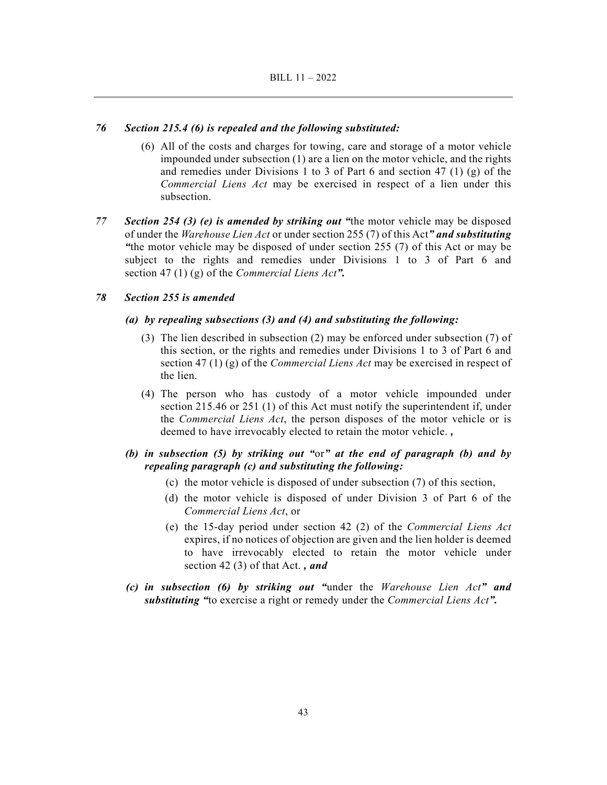### *76 Section 215.4 (6) is repealed and the following substituted:*

- (6) All of the costs and charges for towing, care and storage of a motor vehicle impounded under subsection (1) are a lien on the motor vehicle, and the rights and remedies under Divisions 1 to 3 of Part 6 and section 47 (1) (g) of the *Commercial Liens Act* may be exercised in respect of a lien under this subsection.
- *77 Section 254 (3) (e) is amended by striking out "*the motor vehicle may be disposed of under the *Warehouse Lien Act* or under section 255 (7) of this Act*" and substituting "*the motor vehicle may be disposed of under section 255 (7) of this Act or may be subject to the rights and remedies under Divisions 1 to 3 of Part 6 and section 47 (1) (g) of the *Commercial Liens Act".*

#### *78 Section 255 is amended*

#### *(a) by repealing subsections (3) and (4) and substituting the following:*

- (3) The lien described in subsection (2) may be enforced under subsection (7) of this section, or the rights and remedies under Divisions 1 to 3 of Part 6 and section 47 (1) (g) of the *Commercial Liens Act* may be exercised in respect of the lien.
- (4) The person who has custody of a motor vehicle impounded under section 215.46 or 251 (1) of this Act must notify the superintendent if, under the *Commercial Liens Act*, the person disposes of the motor vehicle or is deemed to have irrevocably elected to retain the motor vehicle. *,*

## *(b) in subsection (5) by striking out "*or*" at the end of paragraph (b) and by repealing paragraph (c) and substituting the following:*

- (c) the motor vehicle is disposed of under subsection (7) of this section,
- (d) the motor vehicle is disposed of under Division 3 of Part 6 of the *Commercial Liens Act*, or
- (e) the 15-day period under section 42 (2) of the *Commercial Liens Act* expires, if no notices of objection are given and the lien holder is deemed to have irrevocably elected to retain the motor vehicle under section 42 (3) of that Act. *, and*
- *(c) in subsection (6) by striking out "*under the *Warehouse Lien Act" and substituting "*to exercise a right or remedy under the *Commercial Liens Act".*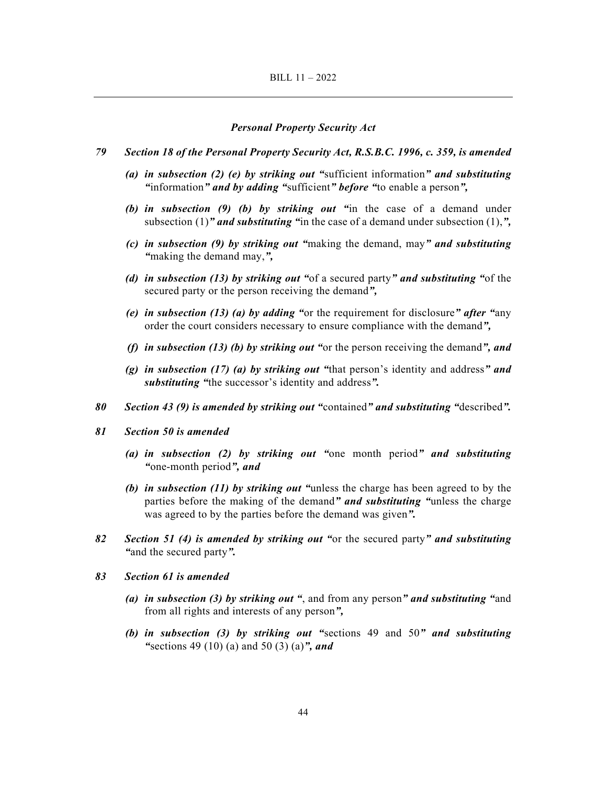#### *Personal Property Security Act*

- *79 Section 18 of the Personal Property Security Act, R.S.B.C. 1996, c. 359, is amended* 
	- *(a) in subsection (2) (e) by striking out "*sufficient information*" and substituting "*information*" and by adding "*sufficient*" before "*to enable a person*",*
	- *(b) in subsection (9) (b) by striking out "*in the case of a demand under subsection (1)*" and substituting "*in the case of a demand under subsection (1),*",*
	- *(c) in subsection (9) by striking out "*making the demand, may*" and substituting "*making the demand may,*",*
	- *(d) in subsection (13) by striking out "*of a secured party*" and substituting "*of the secured party or the person receiving the demand*",*
	- *(e) in subsection (13) (a) by adding "*or the requirement for disclosure*" after "*any order the court considers necessary to ensure compliance with the demand*",*
	- *(f) in subsection (13) (b) by striking out "*or the person receiving the demand*", and*
	- *(g) in subsection (17) (a) by striking out "*that person's identity and address*" and substituting "*the successor's identity and address*".*
- *80 Section 43 (9) is amended by striking out "*contained*" and substituting "*described*".*
- *81 Section 50 is amended* 
	- *(a) in subsection (2) by striking out "*one month period*" and substituting "*one-month period*", and*
	- *(b) in subsection (11) by striking out "*unless the charge has been agreed to by the parties before the making of the demand*" and substituting "*unless the charge was agreed to by the parties before the demand was given*".*
- *82 Section 51 (4) is amended by striking out "*or the secured party*" and substituting "*and the secured party*".*
- *83 Section 61 is amended* 
	- *(a) in subsection (3) by striking out "*, and from any person*" and substituting "*and from all rights and interests of any person*",*
	- *(b) in subsection (3) by striking out "*sections 49 and 50*" and substituting "*sections 49 (10) (a) and 50 (3) (a)*", and*